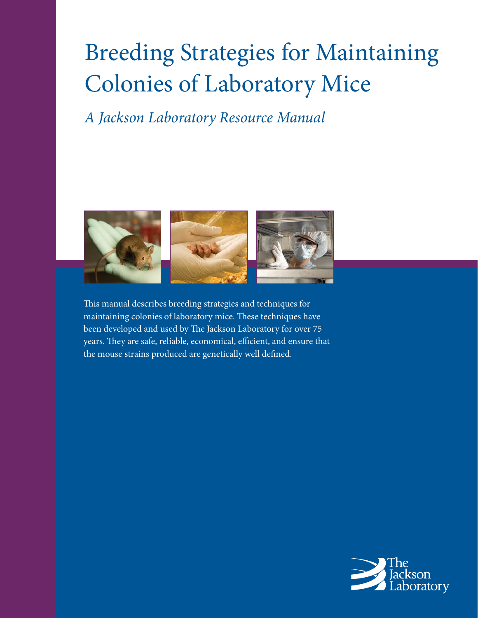# Breeding Strategies for Maintaining Colonies of Laboratory Mice

## *A Jackson Laboratory Resource Manual*



This manual describes breeding strategies and techniques for maintaining colonies of laboratory mice. These techniques have been developed and used by The Jackson Laboratory for over 75 years. They are safe, reliable, economical, efficient, and ensure that the mouse strains produced are genetically well defined.

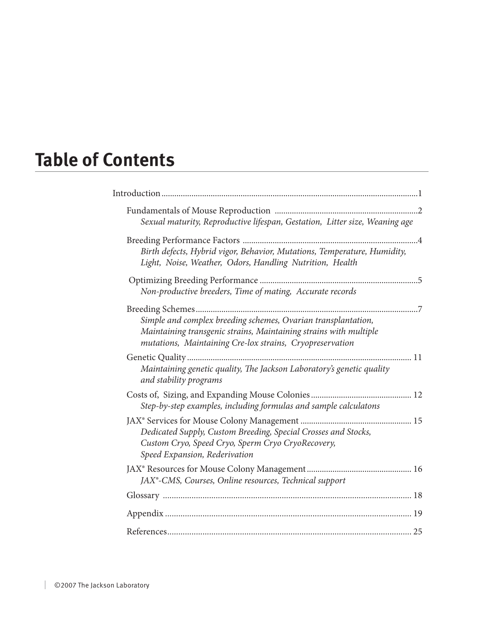# **Table of Contents**

| Sexual maturity, Reproductive lifespan, Gestation, Litter size, Weaning age                                                                                                                    |  |
|------------------------------------------------------------------------------------------------------------------------------------------------------------------------------------------------|--|
| Birth defects, Hybrid vigor, Behavior, Mutations, Temperature, Humidity,<br>Light, Noise, Weather, Odors, Handling Nutrition, Health                                                           |  |
| Non-productive breeders, Time of mating, Accurate records                                                                                                                                      |  |
| Simple and complex breeding schemes, Ovarian transplantation,<br>Maintaining transgenic strains, Maintaining strains with multiple<br>mutations, Maintaining Cre-lox strains, Cryopreservation |  |
| Maintaining genetic quality, The Jackson Laboratory's genetic quality<br>and stability programs                                                                                                |  |
| Step-by-step examples, including formulas and sample calculatons                                                                                                                               |  |
| Dedicated Supply, Custom Breeding, Special Crosses and Stocks,<br>Custom Cryo, Speed Cryo, Sperm Cryo CryoRecovery,<br>Speed Expansion, Rederivation                                           |  |
| JAX <sup>®</sup> -CMS, Courses, Online resources, Technical support                                                                                                                            |  |
|                                                                                                                                                                                                |  |
|                                                                                                                                                                                                |  |
|                                                                                                                                                                                                |  |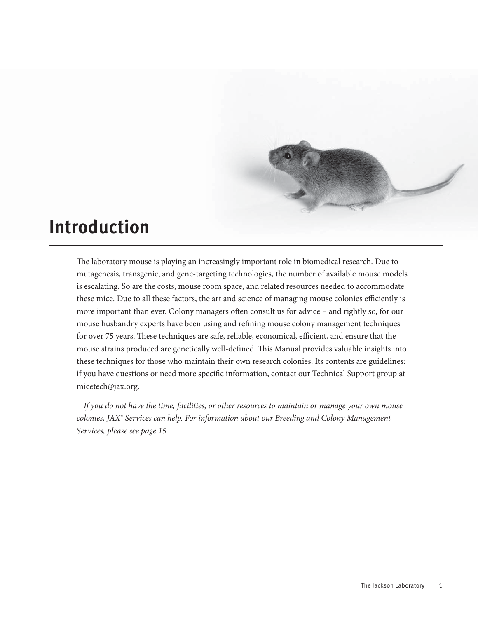

## **Introduction**

The laboratory mouse is playing an increasingly important role in biomedical research. Due to mutagenesis, transgenic, and gene-targeting technologies, the number of available mouse models is escalating. So are the costs, mouse room space, and related resources needed to accommodate these mice. Due to all these factors, the art and science of managing mouse colonies efficiently is more important than ever. Colony managers often consult us for advice – and rightly so, for our mouse husbandry experts have been using and refining mouse colony management techniques for over 75 years. These techniques are safe, reliable, economical, efficient, and ensure that the mouse strains produced are genetically well-defined. This Manual provides valuable insights into these techniques for those who maintain their own research colonies. Its contents are guidelines: if you have questions or need more specific information, contact our Technical Support group at micetech@jax.org.

*If you do not have the time, facilities, or other resources to maintain or manage your own mouse colonies, JAX® Services can help. For information about our Breeding and Colony Management Services, please see page 15*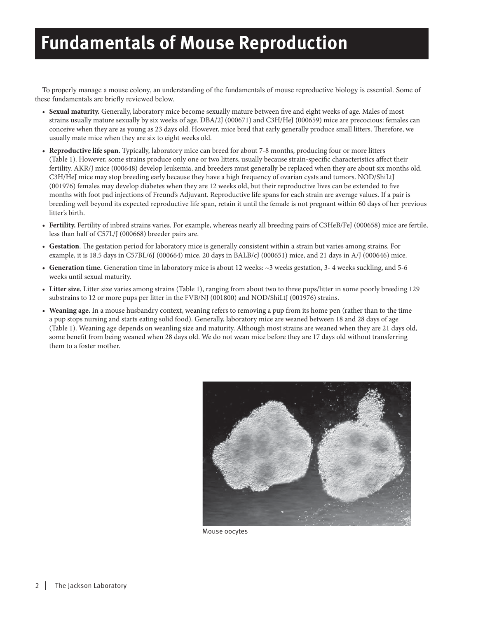# **Fundamentals of Mouse Reproduction**

To properly manage a mouse colony, an understanding of the fundamentals of mouse reproductive biology is essential. Some of these fundamentals are briefly reviewed below.

- Sexual maturity. Generally, laboratory mice become sexually mature between five and eight weeks of age. Males of most strains usually mature sexually by six weeks of age. DBA/2J (000671) and C3H/HeJ (000659) mice are precocious: females can conceive when they are as young as 23 days old. However, mice bred that early generally produce small litters. Therefore, we usually mate mice when they are six to eight weeks old.
- **Reproductive life span.** Typically, laboratory mice can breed for about 7-8 months, producing four or more litters (Table 1). However, some strains produce only one or two litters, usually because strain-specific characteristics affect their fertility. AKR/J mice (000648) develop leukemia, and breeders must generally be replaced when they are about six months old. C3H/HeJ mice may stop breeding early because they have a high frequency of ovarian cysts and tumors. NOD/ShiLtJ (001976) females may develop diabetes when they are 12 weeks old, but their reproductive lives can be extended to five months with foot pad injections of Freund's Adjuvant. Reproductive life spans for each strain are average values. If a pair is breeding well beyond its expected reproductive life span, retain it until the female is not pregnant within 60 days of her previous litter's birth.
- **Fertility.** Fertility of inbred strains varies. For example, whereas nearly all breeding pairs of C3HeB/FeJ (000658) mice are fertile, less than half of C57L/J (000668) breeder pairs are.
- Gestation. The gestation period for laboratory mice is generally consistent within a strain but varies among strains. For example, it is 18.5 days in C57BL/6J (000664) mice, 20 days in BALB/cJ (000651) mice, and 21 days in A/J (000646) mice.
- **Generation time.** Generation time in laboratory mice is about 12 weeks: ~3 weeks gestation, 3- 4 weeks suckling, and 5-6 weeks until sexual maturity.
- **Litter size.** Litter size varies among strains (Table 1), ranging from about two to three pups/litter in some poorly breeding 129 substrains to 12 or more pups per litter in the FVB/NJ (001800) and NOD/ShiLtJ (001976) strains.
- **Weaning age.** In a mouse husbandry context, weaning refers to removing a pup from its home pen (rather than to the time a pup stops nursing and starts eating solid food). Generally, laboratory mice are weaned between 18 and 28 days of age (Table 1). Weaning age depends on weanling size and maturity. Although most strains are weaned when they are 21 days old, some benefit from being weaned when 28 days old. We do not wean mice before they are 17 days old without transferring them to a foster mother.



Mouse oocytes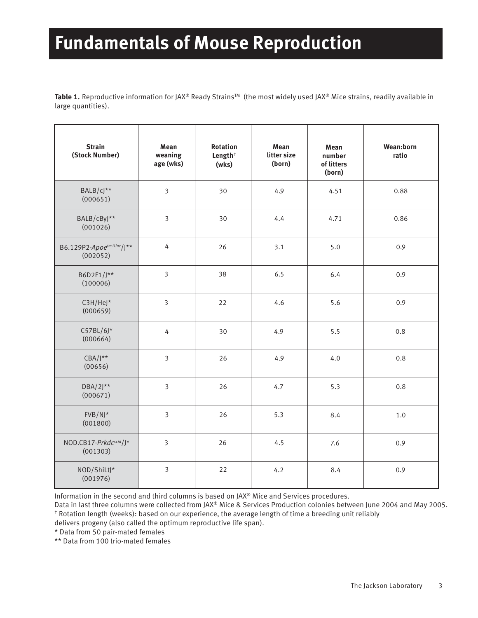# **Fundamentals of Mouse Reproduction**

Table 1. Reproductive information for JAX® Ready Strains™ (the most widely used JAX® Mice strains, readily available in large quantities).

| <b>Strain</b><br>(Stock Number)     | Mean<br>weaning<br>age (wks) | <b>Rotation</b><br>Length <sup>+</sup><br>(wks) | Mean<br>litter size<br>(born) | Mean<br>number<br>of litters<br>(born) | Wean:born<br>ratio |
|-------------------------------------|------------------------------|-------------------------------------------------|-------------------------------|----------------------------------------|--------------------|
| BALB/cJ**<br>(000651)               | $\overline{\mathbf{3}}$      | 30                                              | 4.9                           | 4.51                                   | 0.88               |
| BALB/cByJ**<br>(001026)             | $\overline{3}$               | 30                                              | 4.4                           | 4.71                                   | 0.86               |
| B6.129P2-Apoetm1Unc/J**<br>(002052) | 4                            | 26                                              | 3.1                           | 5.0                                    | 0.9                |
| B6D2F1/J**<br>(100006)              | $\overline{3}$               | 38                                              | 6.5                           | 6.4                                    | 0.9                |
| $C3H/HeJ*$<br>(000659)              | $\overline{3}$               | 22                                              | 4.6                           | 5.6                                    | 0.9                |
| $C57BL/6J*$<br>(000664)             | 4                            | 30                                              | 4.9                           | 5.5                                    | 0.8                |
| $CBA/J^{\star\star}$<br>(00656)     | $\overline{\mathbf{3}}$      | 26                                              | 4.9                           | 4.0                                    | 0.8                |
| $DBA/2$ <sup>**</sup><br>(000671)   | 3                            | 26                                              | 4.7                           | 5.3                                    | 0.8                |
| $FVB/NJ^*$<br>(001800)              | $\overline{\mathbf{3}}$      | 26                                              | 5.3                           | 8.4                                    | $1.0$              |
| NOD.CB17-Prkdcscid/J*<br>(001303)   | $\overline{\mathbf{3}}$      | 26                                              | 4.5                           | 7.6                                    | 0.9                |
| NOD/ShiLtJ*<br>(001976)             | $\overline{\mathbf{3}}$      | 22                                              | 4.2                           | 8.4                                    | 0.9                |

Information in the second and third columns is based on JAX® Mice and Services procedures.

Data in last three columns were collected from JAX® Mice & Services Production colonies between June 2004 and May 2005. <sup>†</sup> Rotation length (weeks): based on our experience, the average length of time a breeding unit reliably

delivers progeny (also called the optimum reproductive life span).

\* Data from 50 pair-mated females

\*\* Data from 100 trio-mated females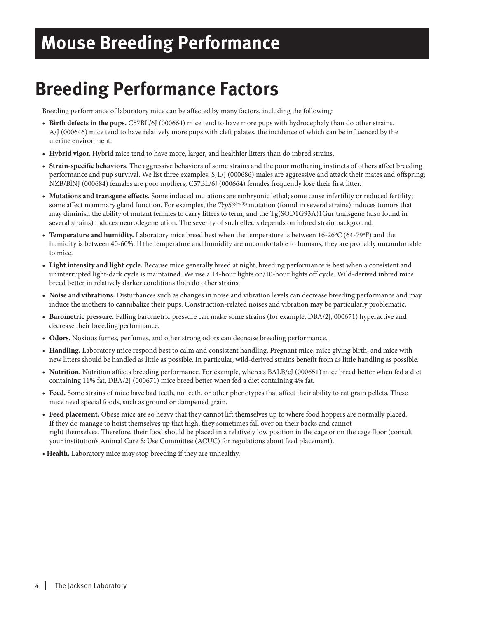# **Mouse Breeding Performance**

# **Breeding Performance Factors**

Breeding performance of laboratory mice can be affected by many factors, including the following:

- **Birth defects in the pups.** C57BL/6J (000664) mice tend to have more pups with hydrocephaly than do other strains. A/J (000646) mice tend to have relatively more pups with cleft palates, the incidence of which can be influenced by the uterine environment.
- **Hybrid vigor.** Hybrid mice tend to have more, larger, and healthier litters than do inbred strains.
- **Strain-specific behaviors.** The aggressive behaviors of some strains and the poor mothering instincts of others affect breeding performance and pup survival. We list three examples: SJL/J (000686) males are aggressive and attack their mates and offspring; NZB/BlNJ (000684) females are poor mothers; C57BL/6J (000664) females frequently lose their first litter.
- **Mutations and transgene effects.** Some induced mutations are embryonic lethal; some cause infertility or reduced fertility; some affect mammary gland function. For examples, the *Trp53<sup>tm1Tyj</sup>* mutation (found in several strains) induces tumors that may diminish the ability of mutant females to carry litters to term, and the Tg(SOD1G93A)1Gur transgene (also found in several strains) induces neurodegeneration. The severity of such effects depends on inbred strain background.
- Temperature and humidity. Laboratory mice breed best when the temperature is between 16-26°C (64-79°F) and the humidity is between 40-60%. If the temperature and humidity are uncomfortable to humans, they are probably uncomfortable to mice.
- **Light intensity and light cycle.** Because mice generally breed at night, breeding performance is best when a consistent and uninterrupted light-dark cycle is maintained. We use a 14-hour lights on/10-hour lights off cycle. Wild-derived inbred mice breed better in relatively darker conditions than do other strains.
- **Noise and vibrations.** Disturbances such as changes in noise and vibration levels can decrease breeding performance and may induce the mothers to cannibalize their pups. Construction-related noises and vibration may be particularly problematic.
- **Barometric pressure.** Falling barometric pressure can make some strains (for example, DBA/2J, 000671) hyperactive and decrease their breeding performance.
- **Odors.** Noxious fumes, perfumes, and other strong odors can decrease breeding performance.
- **Handling.** Laboratory mice respond best to calm and consistent handling. Pregnant mice, mice giving birth, and mice with new litters should be handled as little as possible. In particular, wild-derived strains benefit from as little handling as possible.
- **Nutrition.** Nutrition affects breeding performance. For example, whereas BALB/cJ (000651) mice breed better when fed a diet containing 11% fat, DBA/2J (000671) mice breed better when fed a diet containing 4% fat.
- **Feed.** Some strains of mice have bad teeth, no teeth, or other phenotypes that affect their ability to eat grain pellets. These mice need special foods, such as ground or dampened grain.
- **Feed placement.** Obese mice are so heavy that they cannot lift themselves up to where food hoppers are normally placed. If they do manage to hoist themselves up that high, they sometimes fall over on their backs and cannot right themselves. Therefore, their food should be placed in a relatively low position in the cage or on the cage floor (consult your institution's Animal Care & Use Committee (ACUC) for regulations about feed placement).
- **Health.** Laboratory mice may stop breeding if they are unhealthy.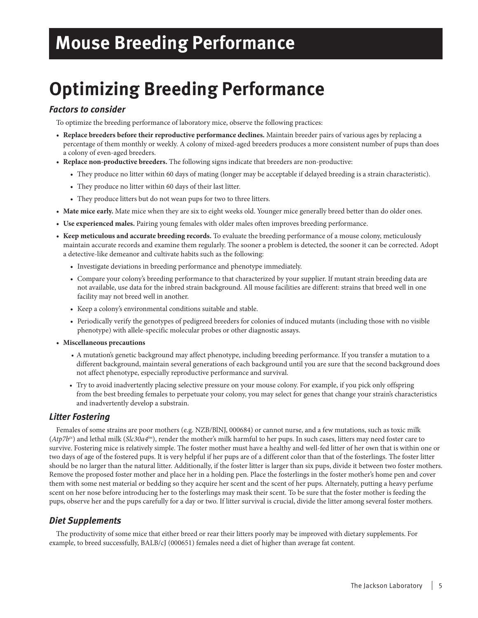# **Mouse Breeding Performance**

# **Optimizing Breeding Performance**

### *Factors to consider*

To optimize the breeding performance of laboratory mice, observe the following practices:

- **Replace breeders before their reproductive performance declines.** Maintain breeder pairs of various ages by replacing a percentage of them monthly or weekly. A colony of mixed-aged breeders produces a more consistent number of pups than does a colony of even-aged breeders.
- **Replace non-productive breeders.** The following signs indicate that breeders are non-productive:
	- They produce no litter within 60 days of mating (longer may be acceptable if delayed breeding is a strain characteristic).
	- They produce no litter within 60 days of their last litter.
	- They produce litters but do not wean pups for two to three litters.
- **Mate mice early.** Mate mice when they are six to eight weeks old. Younger mice generally breed better than do older ones.
- **Use experienced males.** Pairing young females with older males often improves breeding performance.
- **Keep meticulous and accurate breeding records.** To evaluate the breeding performance of a mouse colony, meticulously maintain accurate records and examine them regularly. The sooner a problem is detected, the sooner it can be corrected. Adopt a detective-like demeanor and cultivate habits such as the following:
	- Investigate deviations in breeding performance and phenotype immediately.
	- Compare your colony's breeding performance to that characterized by your supplier. If mutant strain breeding data are not available, use data for the inbred strain background. All mouse facilities are different: strains that breed well in one facility may not breed well in another.
	- Keep a colony's environmental conditions suitable and stable.
	- Periodically verify the genotypes of pedigreed breeders for colonies of induced mutants (including those with no visible phenotype) with allele-specific molecular probes or other diagnostic assays.
- **Miscellaneous precautions**
	- A mutation's genetic background may affect phenotype, including breeding performance. If you transfer a mutation to a different background, maintain several generations of each background until you are sure that the second background does not affect phenotype, especially reproductive performance and survival.
	- Try to avoid inadvertently placing selective pressure on your mouse colony. For example, if you pick only offspring from the best breeding females to perpetuate your colony, you may select for genes that change your strain's characteristics and inadvertently develop a substrain.

### *Litter Fostering*

Females of some strains are poor mothers (e.g. NZB/BlNJ, 000684) or cannot nurse, and a few mutations, such as toxic milk (*Atp7btx*) and lethal milk (*Slc30a4lm*), render the mother's milk harmful to her pups. In such cases, litters may need foster care to survive. Fostering mice is relatively simple. The foster mother must have a healthy and well-fed litter of her own that is within one or two days of age of the fostered pups. It is very helpful if her pups are of a different color than that of the fosterlings. The foster litter should be no larger than the natural litter. Additionally, if the foster litter is larger than six pups, divide it between two foster mothers. Remove the proposed foster mother and place her in a holding pen. Place the fosterlings in the foster mother's home pen and cover them with some nest material or bedding so they acquire her scent and the scent of her pups. Alternately, putting a heavy perfume scent on her nose before introducing her to the fosterlings may mask their scent. To be sure that the foster mother is feeding the pups, observe her and the pups carefully for a day or two. If litter survival is crucial, divide the litter among several foster mothers.

### *Diet Supplements*

The productivity of some mice that either breed or rear their litters poorly may be improved with dietary supplements. For example, to breed successfully, BALB/cJ (000651) females need a diet of higher than average fat content.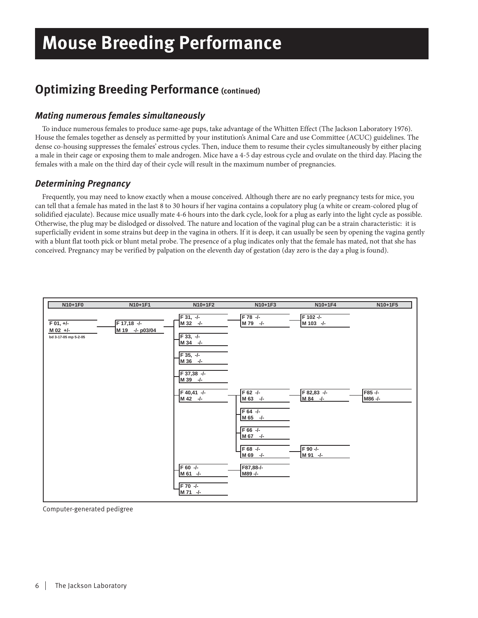## **Optimizing Breeding Performance (continued)**

### *Mating numerous females simultaneously*

To induce numerous females to produce same-age pups, take advantage of the Whitten Effect (The Jackson Laboratory 1976). House the females together as densely as permitted by your institution's Animal Care and use Committee (ACUC) guidelines. The dense co-housing suppresses the females' estrous cycles. Then, induce them to resume their cycles simultaneously by either placing a male in their cage or exposing them to male androgen. Mice have a 4-5 day estrous cycle and ovulate on the third day. Placing the females with a male on the third day of their cycle will result in the maximum number of pregnancies.

### *Determining Pregnancy*

Frequently, you may need to know exactly when a mouse conceived. Although there are no early pregnancy tests for mice, you can tell that a female has mated in the last 8 to 30 hours if her vagina contains a copulatory plug (a white or cream-colored plug of solidified ejaculate). Because mice usually mate 4-6 hours into the dark cycle, look for a plug as early into the light cycle as possible. Otherwise, the plug may be dislodged or dissolved. The nature and location of the vaginal plug can be a strain characteristic: it is superficially evident in some strains but deep in the vagina in others. If it is deep, it can usually be seen by opening the vagina gently with a blunt flat tooth pick or blunt metal probe. The presence of a plug indicates only that the female has mated, not that she has conceived. Pregnancy may be verified by palpation on the eleventh day of gestation (day zero is the day a plug is found).



Computer-generated pedigree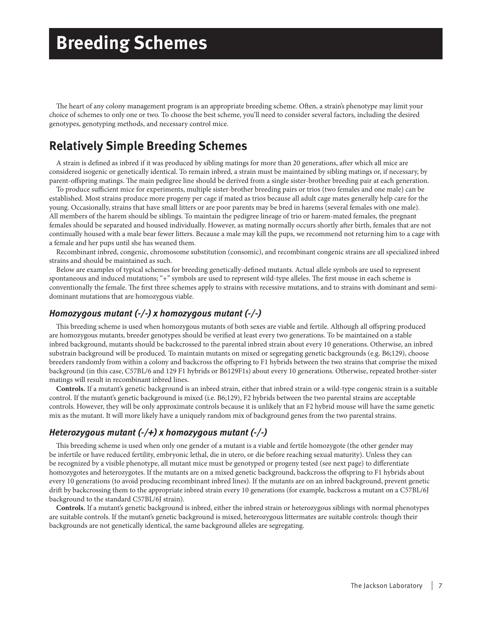# **Breeding Schemes**

The heart of any colony management program is an appropriate breeding scheme. Often, a strain's phenotype may limit your choice of schemes to only one or two. To choose the best scheme, you'll need to consider several factors, including the desired genotypes, genotyping methods, and necessary control mice.

### **Relatively Simple Breeding Schemes**

A strain is defined as inbred if it was produced by sibling matings for more than 20 generations, after which all mice are considered isogenic or genetically identical. To remain inbred, a strain must be maintained by sibling matings or, if necessary, by parent-offspring matings. The main pedigree line should be derived from a single sister-brother breeding pair at each generation.

To produce sufficient mice for experiments, multiple sister-brother breeding pairs or trios (two females and one male) can be established. Most strains produce more progeny per cage if mated as trios because all adult cage mates generally help care for the young. Occasionally, strains that have small litters or are poor parents may be bred in harems (several females with one male). All members of the harem should be siblings. To maintain the pedigree lineage of trio or harem-mated females, the pregnant females should be separated and housed individually. However, as mating normally occurs shortly after birth, females that are not continually housed with a male bear fewer litters. Because a male may kill the pups, we recommend not returning him to a cage with a female and her pups until she has weaned them.

Recombinant inbred, congenic, chromosome substitution (consomic), and recombinant congenic strains are all specialized inbred strains and should be maintained as such.

Below are examples of typical schemes for breeding genetically-defined mutants. Actual allele symbols are used to represent spontaneous and induced mutations; "+" symbols are used to represent wild-type alleles. The first mouse in each scheme is conventionally the female. The first three schemes apply to strains with recessive mutations, and to strains with dominant and semidominant mutations that are homozygous viable.

### *Homozygous mutant (-/-) x homozygous mutant (-/-)*

This breeding scheme is used when homozygous mutants of both sexes are viable and fertile. Although all offspring produced are homozygous mutants, breeder genotypes should be verified at least every two generations. To be maintained on a stable inbred background, mutants should be backcrossed to the parental inbred strain about every 10 generations. Otherwise, an inbred substrain background will be produced. To maintain mutants on mixed or segregating genetic backgrounds (e.g. B6;129), choose breeders randomly from within a colony and backcross the offspring to F1 hybrids between the two strains that comprise the mixed background (in this case, C57BL/6 and 129 F1 hybrids or B6129F1s) about every 10 generations. Otherwise, repeated brother-sister matings will result in recombinant inbred lines.

**Controls.** If a mutant's genetic background is an inbred strain, either that inbred strain or a wild-type congenic strain is a suitable control. If the mutant's genetic background is mixed (i.e. B6;129), F2 hybrids between the two parental strains are acceptable controls. However, they will be only approximate controls because it is unlikely that an F2 hybrid mouse will have the same genetic mix as the mutant. It will more likely have a uniquely random mix of background genes from the two parental strains.

### *Heterozygous mutant (-/+) x homozygous mutant (-/-)*

This breeding scheme is used when only one gender of a mutant is a viable and fertile homozygote (the other gender may be infertile or have reduced fertility, embryonic lethal, die in utero, or die before reaching sexual maturity). Unless they can be recognized by a visible phenotype, all mutant mice must be genotyped or progeny tested (see next page) to differentiate homozygotes and heterozygotes. If the mutants are on a mixed genetic background, backcross the offspring to F1 hybrids about every 10 generations (to avoid producing recombinant inbred lines). If the mutants are on an inbred background, prevent genetic drift by backcrossing them to the appropriate inbred strain every 10 generations (for example, backcross a mutant on a C57BL/6J background to the standard C57BL/6J strain).

**Controls.** If a mutant's genetic background is inbred, either the inbred strain or heterozygous siblings with normal phenotypes are suitable controls. If the mutant's genetic background is mixed, heterozygous littermates are suitable controls: though their backgrounds are not genetically identical, the same background alleles are segregating.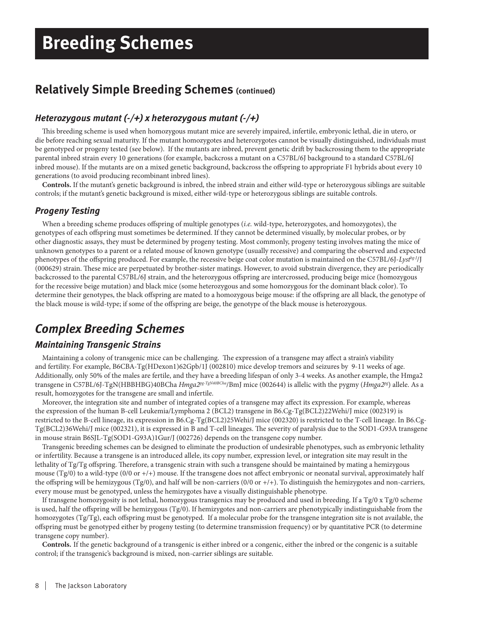## **Relatively Simple Breeding Schemes (continued)**

### *Heterozygous mutant (-/+) x heterozygous mutant (-/+)*

This breeding scheme is used when homozygous mutant mice are severely impaired, infertile, embryonic lethal, die in utero, or die before reaching sexual maturity. If the mutant homozygotes and heterozygotes cannot be visually distinguished, individuals must be genotyped or progeny tested (see below). If the mutants are inbred, prevent genetic drift by backcrossing them to the appropriate parental inbred strain every 10 generations (for example, backcross a mutant on a C57BL/6J background to a standard C57BL/6J inbred mouse). If the mutants are on a mixed genetic background, backcross the offspring to appropriate F1 hybrids about every 10 generations (to avoid producing recombinant inbred lines).

**Controls.** If the mutant's genetic background is inbred, the inbred strain and either wild-type or heterozygous siblings are suitable controls; if the mutant's genetic background is mixed, either wild-type or heterozygous siblings are suitable controls.

### *Progeny Testing*

When a breeding scheme produces offspring of multiple genotypes (*i.e.* wild-type, heterozygotes, and homozygotes), the genotypes of each offspring must sometimes be determined. If they cannot be determined visually, by molecular probes, or by other diagnostic assays, they must be determined by progeny testing. Most commonly, progeny testing involves mating the mice of unknown genotypes to a parent or a related mouse of known genotype (usually recessive) and comparing the observed and expected phenotypes of the offspring produced. For example, the recessive beige coat color mutation is maintained on the C57BL/6J-*Lyst<sup>hg-J</sup>*/J (000629) strain. These mice are perpetuated by brother-sister matings. However, to avoid substrain divergence, they are periodically backcrossed to the parental C57BL/6J strain, and the heterozygous offspring are intercrossed, producing beige mice (homozygous for the recessive beige mutation) and black mice (some heterozygous and some homozygous for the dominant black color). To determine their genotypes, the black offspring are mated to a homozygous beige mouse: if the offspring are all black, the genotype of the black mouse is wild-type; if some of the offspring are beige, the genotype of the black mouse is heterozygous.

## *Complex Breeding Schemes*

### *Maintaining Transgenic Strains*

Maintaining a colony of transgenic mice can be challenging. The expression of a transgene may affect a strain's viability and fertility. For example, B6CBA-Tg(HDexon1)62Gpb/1J (002810) mice develop tremors and seizures by 9-11 weeks of age. Additionally, only 50% of the males are fertile, and they have a breeding lifespan of only 3-4 weeks. As another example, the Hmga2 transgene in C57BL/6J-TgN(HBBHBG)40BCha *Hmga2pg-TgN40BCha*/BmJ mice (002644) is allelic with the pygmy (*Hmga2pg*) allele. As a result, homozygotes for the transgene are small and infertile.

Moreover, the integration site and number of integrated copies of a transgene may affect its expression. For example, whereas the expression of the human B-cell Leukemia/Lymphoma 2 (BCL2) transgene in B6.Cg-Tg(BCL2)22Wehi/J mice (002319) is restricted to the B-cell lineage, its expression in B6.Cg-Tg(BCL2)25Wehi/J mice (002320) is restricted to the T-cell lineage. In B6.Cg-Tg(BCL2)36Wehi/J mice (002321), it is expressed in B and T-cell lineages. The severity of paralysis due to the SOD1-G93A transgene in mouse strain B6SJL-Tg(SOD1-G93A)1Gur/J (002726) depends on the transgene copy number.

Transgenic breeding schemes can be designed to eliminate the production of undesirable phenotypes, such as embryonic lethality or infertility. Because a transgene is an introduced allele, its copy number, expression level, or integration site may result in the lethality of Tg/Tg offspring. Therefore, a transgenic strain with such a transgene should be maintained by mating a hemizygous mouse  $(Tg/0)$  to a wild-type  $(0/0 \text{ or } t/+)$  mouse. If the transgene does not affect embryonic or neonatal survival, approximately half the offspring will be hemizygous (Tg/0), and half will be non-carriers (0/0 or  $+/+$ ). To distinguish the hemizygotes and non-carriers, every mouse must be genotyped, unless the hemizygotes have a visually distinguishable phenotype.

If transgene homozygosity is not lethal, homozygous transgenics may be produced and used in breeding. If a Tg/0 x Tg/0 scheme is used, half the offspring will be hemizygous (Tg/0). If hemizygotes and non-carriers are phenotypically indistinguishable from the homozygotes (Tg/Tg), each offspring must be genotyped. If a molecular probe for the transgene integration site is not available, the off spring must be genotyped either by progeny testing (to determine transmission frequency) or by quantitative PCR (to determine transgene copy number).

**Controls.** If the genetic background of a transgenic is either inbred or a congenic, either the inbred or the congenic is a suitable control; if the transgenic's background is mixed, non-carrier siblings are suitable.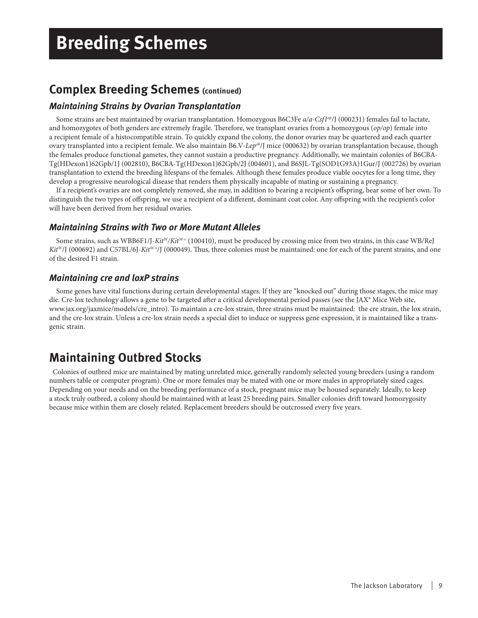## **Complex Breeding Schemes (continued)**

### *Maintaining Strains by Ovarian Transplantation*

Some strains are best maintained by ovarian transplantation. Homozygous B6C3Fe a/a-Csf1<sup>op</sup>/J (000231) females fail to lactate, and homozygotes of both genders are extremely fragile. Therefore, we transplant ovaries from a homozygous (*op/op*) female into a recipient female of a histocompatible strain. To quickly expand the colony, the donor ovaries may be quartered and each quarter ovary transplanted into a recipient female. We also maintain B6.V-*Lepob*/J mice (000632) by ovarian transplantation because, though the females produce functional gametes, they cannot sustain a productive pregnancy. Additionally, we maintain colonies of B6CBA-Tg(HDexon1)62Gpb/1J (002810), B6CBA-Tg(HDexon1)62Gpb/2J (004601), and B6SJL-Tg(SOD1G93A)1Gur/J (002726) by ovarian transplantation to extend the breeding lifespans of the females. Although these females produce viable oocytes for a long time, they develop a progressive neurological disease that renders them physically incapable of mating or sustaining a pregnancy.

If a recipient's ovaries are not completely removed, she may, in addition to bearing a recipient's offspring, bear some of her own. To distinguish the two types of offspring, we use a recipient of a different, dominant coat color. Any offspring with the recipient's color will have been derived from her residual ovaries.

### *Maintaining Strains with Two or More Mutant Alleles*

Some strains, such as WBB6F1/J-*KitW/KitW-v* (100410), must be produced by crossing mice from two strains, in this case WB/ReJ *Kit<sup>W</sup>*/J (000692) and C57BL/6J-*Kit<sup>W-y</sup>*/J (000049). Thus, three colonies must be maintained: one for each of the parent strains, and one of the desired F1 strain.

### *Maintaining cre and loxP strains*

Some genes have vital functions during certain developmental stages. If they are "knocked out" during those stages, the mice may die. Cre-lox technology allows a gene to be targeted after a critical developmental period passes (see the JAX® Mice Web site, www.jax.org/jaxmice/models/cre\_intro). To maintain a cre-lox strain, three strains must be maintained: the cre strain, the lox strain, and the cre-lox strain. Unless a cre-lox strain needs a special diet to induce or suppress gene expression, it is maintained like a transgenic strain.

## **Maintaining Outbred Stocks**

Colonies of outbred mice are maintained by mating unrelated mice, generally randomly selected young breeders (using a random numbers table or computer program). One or more females may be mated with one or more males in appropriately sized cages. Depending on your needs and on the breeding performance of a stock, pregnant mice may be housed separately. Ideally, to keep a stock truly outbred, a colony should be maintained with at least 25 breeding pairs. Smaller colonies drift toward homozygosity because mice within them are closely related. Replacement breeders should be outcrossed every five years.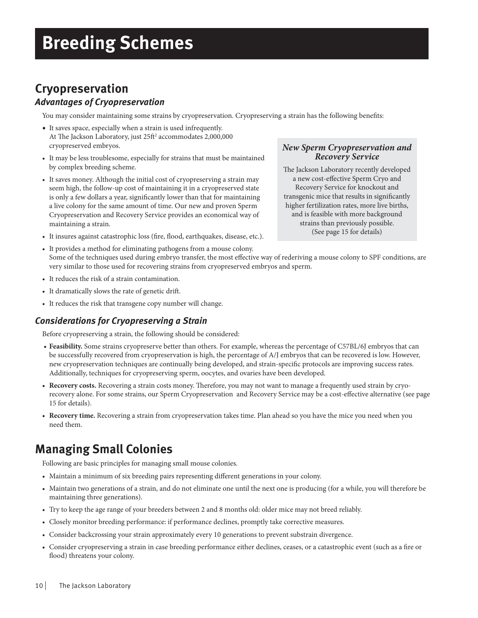# **Breeding Schemes**

## **Cryopreservation**

### *Advantages of Cryopreservation*

You may consider maintaining some strains by cryopreservation. Cryopreserving a strain has the following benefits:

- It saves space, especially when a strain is used infrequently. At The Jackson Laboratory, just 25ft<sup>2</sup> accommodates 2,000,000 cryopreserved embryos.
- It may be less troublesome, especially for strains that must be maintained by complex breeding scheme.
- It saves money. Although the initial cost of cryopreserving a strain may seem high, the follow-up cost of maintaining it in a cryopreserved state is only a few dollars a year, significantly lower than that for maintaining a live colony for the same amount of time. Our new and proven Sperm Cryopreservation and Recovery Service provides an economical way of maintaining a strain.
- It insures against catastrophic loss (fire, flood, earthquakes, disease, etc.).

### *New Sperm Cryopreservation and Recovery Service*

The Jackson Laboratory recently developed a new cost-effective Sperm Cryo and Recovery Service for knockout and transgenic mice that results in significantly higher fertilization rates, more live births, and is feasible with more background strains than previously possible. (See page 15 for details)

- It provides a method for eliminating pathogens from a mouse colony. Some of the techniques used during embryo transfer, the most effective way of rederiving a mouse colony to SPF conditions, are very similar to those used for recovering strains from cryopreserved embryos and sperm.
- It reduces the risk of a strain contamination.
- It dramatically slows the rate of genetic drift .
- It reduces the risk that transgene copy number will change.

### *Considerations for Cryopreserving a Strain*

Before cryopreserving a strain, the following should be considered:

- **Feasibility.** Some strains cryopreserve better than others. For example, whereas the percentage of C57BL/6J embryos that can be successfully recovered from cryopreservation is high, the percentage of A/J embryos that can be recovered is low. However, new cryopreservation techniques are continually being developed, and strain-specific protocols are improving success rates. Additionally, techniques for cryopreserving sperm, oocytes, and ovaries have been developed.
- Recovery costs. Recovering a strain costs money. Therefore, you may not want to manage a frequently used strain by cryorecovery alone. For some strains, our Sperm Cryopreservation and Recovery Service may be a cost-effective alternative (see page 15 for details).
- **Recovery time.** Recovering a strain from cryopreservation takes time. Plan ahead so you have the mice you need when you need them.

## **Managing Small Colonies**

Following are basic principles for managing small mouse colonies.

- Maintain a minimum of six breeding pairs representing different generations in your colony.
- Maintain two generations of a strain, and do not eliminate one until the next one is producing (for a while, you will therefore be maintaining three generations).
- Try to keep the age range of your breeders between 2 and 8 months old: older mice may not breed reliably.
- Closely monitor breeding performance: if performance declines, promptly take corrective measures.
- Consider backcrossing your strain approximately every 10 generations to prevent substrain divergence.
- Consider cryopreserving a strain in case breeding performance either declines, ceases, or a catastrophic event (such as a fire or flood) threatens your colony.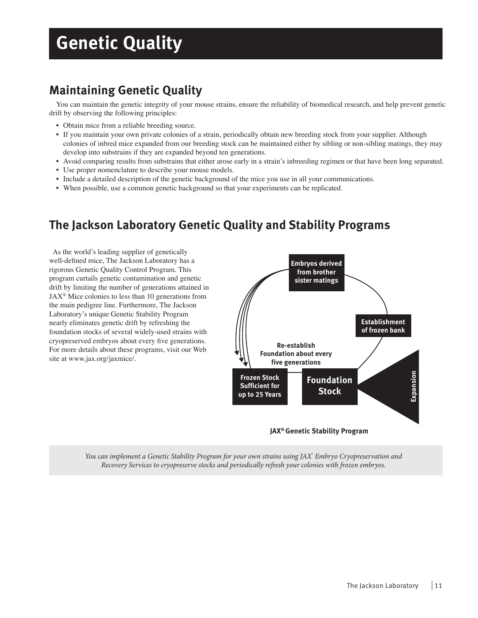# **Genetic Quality**

## **Maintaining Genetic Quality**

You can maintain the genetic integrity of your mouse strains, ensure the reliability of biomedical research, and help prevent genetic drift by observing the following principles:

- Obtain mice from a reliable breeding source.
- If you maintain your own private colonies of a strain, periodically obtain new breeding stock from your supplier. Although colonies of inbred mice expanded from our breeding stock can be maintained either by sibling or non-sibling matings, they may develop into substrains if they are expanded beyond ten generations.
- Avoid comparing results from substrains that either arose early in a strain's inbreeding regimen or that have been long separated.
- Use proper nomenclature to describe your mouse models.
- Include a detailed description of the genetic background of the mice you use in all your communications.
- When possible, use a common genetic background so that your experiments can be replicated.

## **The Jackson Laboratory Genetic Quality and Stability Programs**

As the world's leading supplier of genetically well-defined mice, The Jackson Laboratory has a rigorous Genetic Quality Control Program. This program curtails genetic contamination and genetic drift by limiting the number of generations attained in  $JAX^{\circledast}$  Mice colonies to less than 10 generations from the main pedigree line. Furthermore, The Jackson Laboratory's unique Genetic Stability Program nearly eliminates genetic drift by refreshing the foundation stocks of several widely-used strains with cryopreserved embryos about every five generations. For more details about these programs, visit our Web site at www.jax.org/jaxmice/.



**JAX® Genetic Stability Program**

*You can implement a Genetic Stability Program for your own strains using JAX*®  *Embryo Cryopreservation and Recovery Services to cryopreserve stocks and periodically refresh your colonies with frozen embryos.*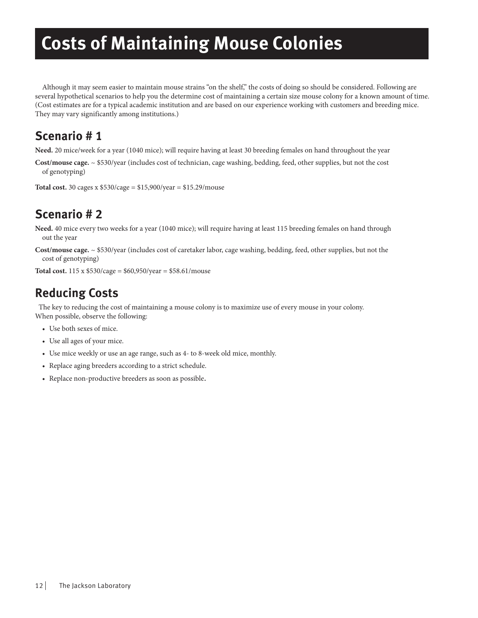# **Costs of Maintaining Mouse Colonies**

Although it may seem easier to maintain mouse strains "on the shelf," the costs of doing so should be considered. Following are several hypothetical scenarios to help you the determine cost of maintaining a certain size mouse colony for a known amount of time. (Cost estimates are for a typical academic institution and are based on our experience working with customers and breeding mice. They may vary significantly among institutions.)

## **Scenario # 1**

**Need.** 20 mice/week for a year (1040 mice); will require having at least 30 breeding females on hand throughout the year

**Cost/mouse cage.** ~ \$530/year (includes cost of technician, cage washing, bedding, feed, other supplies, but not the cost of genotyping)

**Total cost.** 30 cages x \$530/cage = \$15,900/year = \$15.29/mouse

## **Scenario # 2**

**Need.** 40 mice every two weeks for a year (1040 mice); will require having at least 115 breeding females on hand through out the year

**Cost/mouse cage.** ~ \$530/year (includes cost of caretaker labor, cage washing, bedding, feed, other supplies, but not the cost of genotyping)

**Total cost.** 115 x \$530/cage = \$60,950/year = \$58.61/mouse

## **Reducing Costs**

The key to reducing the cost of maintaining a mouse colony is to maximize use of every mouse in your colony. When possible, observe the following:

- Use both sexes of mice.
- Use all ages of your mice.
- Use mice weekly or use an age range, such as 4- to 8-week old mice, monthly.
- Replace aging breeders according to a strict schedule.
- Replace non-productive breeders as soon as possible.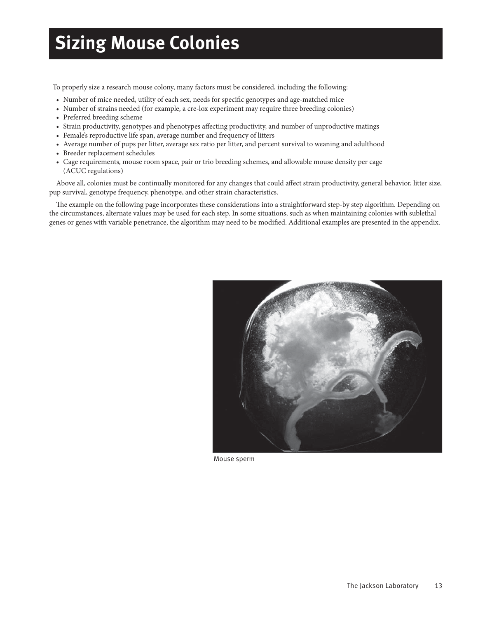# **Sizing Mouse Colonies**

To properly size a research mouse colony, many factors must be considered, including the following:

- Number of mice needed, utility of each sex, needs for specific genotypes and age-matched mice
- Number of strains needed (for example, a cre-lox experiment may require three breeding colonies)
- Preferred breeding scheme
- Strain productivity, genotypes and phenotypes affecting productivity, and number of unproductive matings
- Female's reproductive life span, average number and frequency of litters
- Average number of pups per litter, average sex ratio per litter, and percent survival to weaning and adulthood
- Breeder replacement schedules
- Cage requirements, mouse room space, pair or trio breeding schemes, and allowable mouse density per cage (ACUC regulations)

Above all, colonies must be continually monitored for any changes that could affect strain productivity, general behavior, litter size, pup survival, genotype frequency, phenotype, and other strain characteristics.

The example on the following page incorporates these considerations into a straightforward step-by step algorithm. Depending on the circumstances, alternate values may be used for each step. In some situations, such as when maintaining colonies with sublethal genes or genes with variable penetrance, the algorithm may need to be modified. Additional examples are presented in the appendix.



Mouse sperm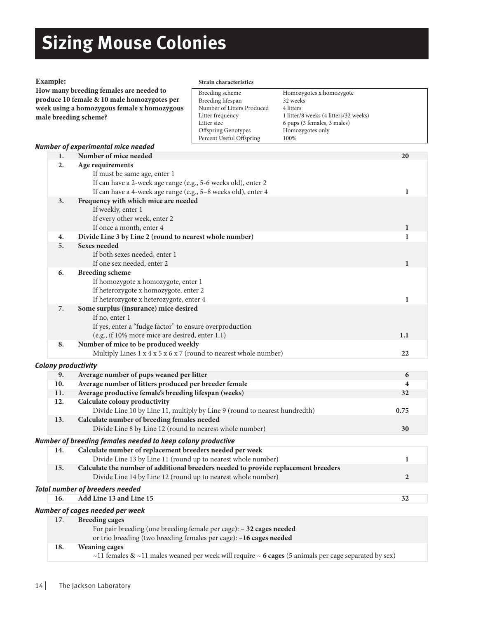# **Sizing Mouse Colonies**

### **Example:**

#### **Strain characteristics**

| How many breeding females are needed to     | Breeding scheme            | Homozygotes x homozygote              |
|---------------------------------------------|----------------------------|---------------------------------------|
| produce 10 female & 10 male homozygotes per | Breeding lifespan          | 32 weeks                              |
| week using a homozygous female x homozygous | Number of Litters Produced | 4 litters                             |
| male breeding scheme?                       | Litter frequency           | 1 litter/8 weeks (4 litters/32 weeks) |
|                                             | Litter size                | 6 pups (3 females, 3 males)           |
|                                             | <b>Offspring Genotypes</b> | Homozygotes only                      |
|                                             | Percent Useful Offspring   | 100%                                  |

### *Number of experimental mice needed*

**How many breeding females are needed to produce 10 female & 10 male homozygotes per** 

| 1.                  | Number of mice needed                                                                                | 20             |
|---------------------|------------------------------------------------------------------------------------------------------|----------------|
| 2.                  | Age requirements                                                                                     |                |
|                     | If must be same age, enter 1                                                                         |                |
|                     | If can have a 2-week age range (e.g., 5-6 weeks old), enter 2                                        |                |
|                     | If can have a 4-week age range (e.g., 5-8 weeks old), enter 4                                        | 1              |
| 3.                  | Frequency with which mice are needed                                                                 |                |
|                     | If weekly, enter 1                                                                                   |                |
|                     | If every other week, enter 2                                                                         |                |
|                     | If once a month, enter 4                                                                             | 1              |
| 4.                  | Divide Line 3 by Line 2 (round to nearest whole number)                                              | 1              |
| 5.                  | <b>Sexes needed</b>                                                                                  |                |
|                     | If both sexes needed, enter 1                                                                        |                |
|                     | If one sex needed, enter 2                                                                           | 1              |
| 6.                  | <b>Breeding scheme</b>                                                                               |                |
|                     | If homozygote x homozygote, enter 1                                                                  |                |
|                     | If heterozygote x homozygote, enter 2                                                                |                |
|                     | If heterozygote x heterozygote, enter 4                                                              | 1              |
| 7.                  | Some surplus (insurance) mice desired                                                                |                |
|                     | If no, enter 1                                                                                       |                |
|                     |                                                                                                      |                |
|                     | If yes, enter a "fudge factor" to ensure overproduction                                              |                |
|                     | (e.g., if 10% more mice are desired, enter 1.1)                                                      | 1.1            |
| 8.                  | Number of mice to be produced weekly                                                                 |                |
|                     | Multiply Lines $1 \times 4 \times 5 \times 6 \times 7$ (round to nearest whole number)               | 22             |
| Colony productivity |                                                                                                      |                |
| 9.                  | Average number of pups weaned per litter                                                             | 6              |
| 10.                 | Average number of litters produced per breeder female                                                | 4              |
| 11.                 | Average productive female's breeding lifespan (weeks)                                                | 32             |
| 12.                 | Calculate colony productivity                                                                        |                |
|                     | Divide Line 10 by Line 11, multiply by Line 9 (round to nearest hundredth)                           | 0.75           |
| 13.                 | Calculate number of breeding females needed                                                          |                |
|                     | Divide Line 8 by Line 12 (round to nearest whole number)                                             | 30             |
|                     | Number of breeding females needed to keep colony productive                                          |                |
| 14.                 | Calculate number of replacement breeders needed per week                                             |                |
|                     |                                                                                                      |                |
|                     | Divide Line 13 by Line 11 (round up to nearest whole number)                                         | 1              |
| 15.                 | Calculate the number of additional breeders needed to provide replacement breeders                   |                |
|                     | Divide Line 14 by Line 12 (round up to nearest whole number)                                         | $\overline{2}$ |
|                     | <b>Total number of breeders needed</b>                                                               |                |
| 16.                 | Add Line 13 and Line 15                                                                              | 32             |
|                     | Number of cages needed per week                                                                      |                |
| 17.                 | <b>Breeding cages</b>                                                                                |                |
|                     | For pair breeding (one breeding female per cage): - 32 cages needed                                  |                |
|                     | or trio breeding (two breeding females per cage): -16 cages needed                                   |                |
| 18.                 | <b>Weaning cages</b>                                                                                 |                |
|                     | ~11 females & ~11 males weaned per week will require ~ 6 cages (5 animals per cage separated by sex) |                |
|                     |                                                                                                      |                |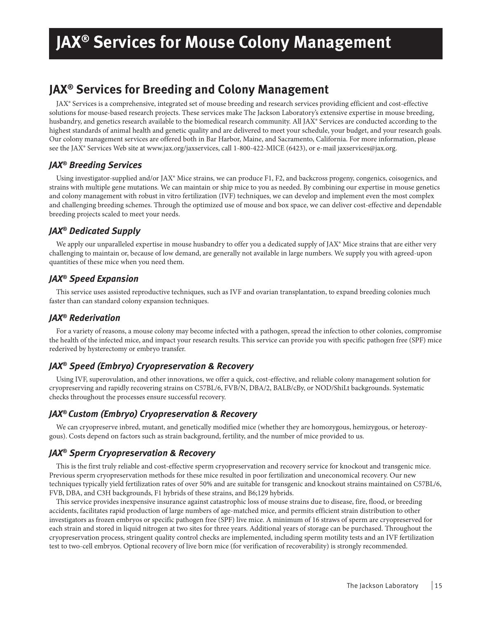# **JAX® Services for Mouse Colony Management**

### **JAX® Services for Breeding and Colony Management**

JAX® Services is a comprehensive, integrated set of mouse breeding and research services providing efficient and cost-effective solutions for mouse-based research projects. These services make The Jackson Laboratory's extensive expertise in mouse breeding, husbandry, and genetics research available to the biomedical research community. All JAX® Services are conducted according to the highest standards of animal health and genetic quality and are delivered to meet your schedule, your budget, and your research goals. Our colony management services are offered both in Bar Harbor, Maine, and Sacramento, California. For more information, please see the JAX® Services Web site at www.jax.org/jaxservices, call 1-800-422-MICE (6423), or e-mail jaxservices@jax.org.

### *JAX® Breeding Services*

Using investigator-supplied and/or JAX® Mice strains, we can produce F1, F2, and backcross progeny, congenics, coisogenics, and strains with multiple gene mutations. We can maintain or ship mice to you as needed. By combining our expertise in mouse genetics and colony management with robust in vitro fertilization (IVF) techniques, we can develop and implement even the most complex and challenging breeding schemes. Through the optimized use of mouse and box space, we can deliver cost-effective and dependable breeding projects scaled to meet your needs.

### *JAX® Dedicated Supply*

We apply our unparalleled expertise in mouse husbandry to offer you a dedicated supply of JAX® Mice strains that are either very challenging to maintain or, because of low demand, are generally not available in large numbers. We supply you with agreed-upon quantities of these mice when you need them.

### *JAX® Speed Expansion*

This service uses assisted reproductive techniques, such as IVF and ovarian transplantation, to expand breeding colonies much faster than can standard colony expansion techniques.

### *JAX® Rederivation*

For a variety of reasons, a mouse colony may become infected with a pathogen, spread the infection to other colonies, compromise the health of the infected mice, and impact your research results. This service can provide you with specific pathogen free (SPF) mice rederived by hysterectomy or embryo transfer.

### *JAX® Speed (Embryo) Cryopreservation & Recovery*

Using IVF, superovulation, and other innovations, we offer a quick, cost-effective, and reliable colony management solution for cryopreserving and rapidly recovering strains on C57BL/6, FVB/N, DBA/2, BALB/cBy, or NOD/ShiLt backgrounds. Systematic checks throughout the processes ensure successful recovery.

### *JAX® Custom (Embryo) Cryopreservation & Recovery*

We can cryopreserve inbred, mutant, and genetically modified mice (whether they are homozygous, hemizygous, or heterozygous). Costs depend on factors such as strain background, fertility, and the number of mice provided to us.

### *JAX® Sperm Cryopreservation & Recovery*

This is the first truly reliable and cost-effective sperm cryopreservation and recovery service for knockout and transgenic mice. Previous sperm cryopreservation methods for these mice resulted in poor fertilization and uneconomical recovery. Our new techniques typically yield fertilization rates of over 50% and are suitable for transgenic and knockout strains maintained on C57BL/6, FVB, DBA, and C3H backgrounds, F1 hybrids of these strains, and B6;129 hybrids.

This service provides inexpensive insurance against catastrophic loss of mouse strains due to disease, fire, flood, or breeding accidents, facilitates rapid production of large numbers of age-matched mice, and permits efficient strain distribution to other investigators as frozen embryos or specific pathogen free (SPF) live mice. A minimum of 16 straws of sperm are cryopreserved for each strain and stored in liquid nitrogen at two sites for three years. Additional years of storage can be purchased. Throughout the cryopreservation process, stringent quality control checks are implemented, including sperm motility tests and an IVF fertilization test to two-cell embryos. Optional recovery of live born mice (for verification of recoverability) is strongly recommended.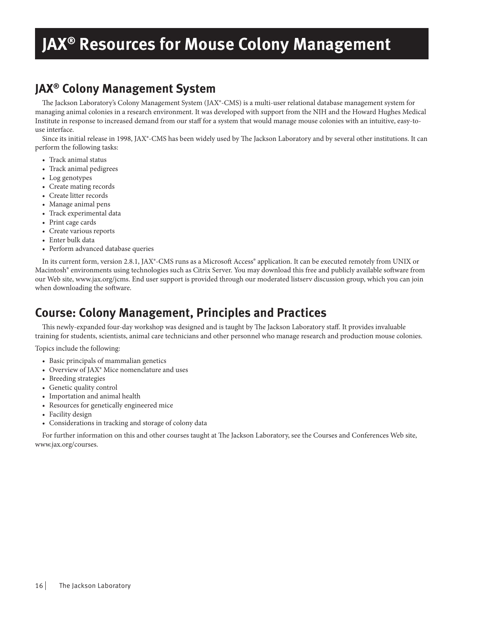# **JAX® Resources for Mouse Colony Management**

## **JAX® Colony Management System**

The Jackson Laboratory's Colony Management System (JAX®-CMS) is a multi-user relational database management system for managing animal colonies in a research environment. It was developed with support from the NIH and the Howard Hughes Medical Institute in response to increased demand from our staff for a system that would manage mouse colonies with an intuitive, easy-touse interface.

Since its initial release in 1998, JAX®-CMS has been widely used by The Jackson Laboratory and by several other institutions. It can perform the following tasks:

- Track animal status
- Track animal pedigrees
- Log genotypes
- Create mating records
- Create litter records
- Manage animal pens
- Track experimental data
- Print cage cards
- Create various reports
- Enter bulk data
- Perform advanced database queries

In its current form, version 2.8.1, JAX®-CMS runs as a Microsoft Access® application. It can be executed remotely from UNIX or Macintosh® environments using technologies such as Citrix Server. You may download this free and publicly available software from our Web site, www.jax.org/jcms. End user support is provided through our moderated listserv discussion group, which you can join when downloading the software.

## **Course: Colony Management, Principles and Practices**

This newly-expanded four-day workshop was designed and is taught by The Jackson Laboratory staff. It provides invaluable training for students, scientists, animal care technicians and other personnel who manage research and production mouse colonies.

Topics include the following:

- Basic principals of mammalian genetics
- Overview of JAX® Mice nomenclature and uses
- Breeding strategies
- Genetic quality control
- Importation and animal health
- Resources for genetically engineered mice
- Facility design
- Considerations in tracking and storage of colony data

For further information on this and other courses taught at The Jackson Laboratory, see the Courses and Conferences Web site, www.jax.org/courses.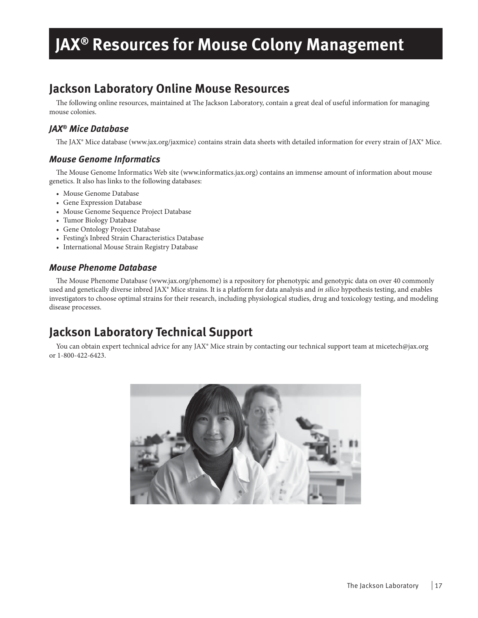# **JAX® Resources for Mouse Colony Management**

## **Jackson Laboratory Online Mouse Resources**

The following online resources, maintained at The Jackson Laboratory, contain a great deal of useful information for managing mouse colonies.

### *JAX® Mice Database*

The JAX® Mice database (www.jax.org/jaxmice) contains strain data sheets with detailed information for every strain of JAX® Mice.

### *Mouse Genome Informatics*

The Mouse Genome Informatics Web site (www.informatics.jax.org) contains an immense amount of information about mouse genetics. It also has links to the following databases:

- Mouse Genome Database
- Gene Expression Database
- Mouse Genome Sequence Project Database
- Tumor Biology Database
- Gene Ontology Project Database
- Festing's Inbred Strain Characteristics Database
- International Mouse Strain Registry Database

### *Mouse Phenome Database*

The Mouse Phenome Database (www.jax.org/phenome) is a repository for phenotypic and genotypic data on over 40 commonly used and genetically diverse inbred JAX® Mice strains. It is a platform for data analysis and *in silico* hypothesis testing, and enables investigators to choose optimal strains for their research, including physiological studies, drug and toxicology testing, and modeling disease processes.

## **Jackson Laboratory Technical Support**

You can obtain expert technical advice for any JAX® Mice strain by contacting our technical support team at micetech@jax.org or 1-800-422-6423.

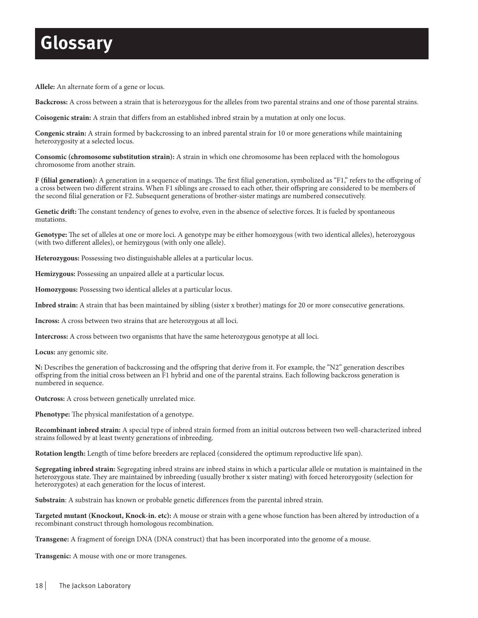# **Glossary**

**Allele:** An alternate form of a gene or locus.

**Backcross:** A cross between a strain that is heterozygous for the alleles from two parental strains and one of those parental strains.

**Coisogenic strain:** A strain that differs from an established inbred strain by a mutation at only one locus.

**Congenic strain:** A strain formed by backcrossing to an inbred parental strain for 10 or more generations while maintaining heterozygosity at a selected locus.

**Consomic (chromosome substitution strain):** A strain in which one chromosome has been replaced with the homologous chromosome from another strain.

F (filial generation): A generation in a sequence of matings. The first filial generation, symbolized as "F1," refers to the offspring of a cross between two different strains. When F1 siblings are crossed to each other, their offspring are considered to be members of the second filial generation or F2. Subsequent generations of brother-sister matings are numbered consecutively.

Genetic drift: The constant tendency of genes to evolve, even in the absence of selective forces. It is fueled by spontaneous mutations.

Genotype: The set of alleles at one or more loci. A genotype may be either homozygous (with two identical alleles), heterozygous (with two different alleles), or hemizygous (with only one allele).

**Heterozygous:** Possessing two distinguishable alleles at a particular locus.

**Hemizygous:** Possessing an unpaired allele at a particular locus.

**Homozygous:** Possessing two identical alleles at a particular locus.

**Inbred strain:** A strain that has been maintained by sibling (sister x brother) matings for 20 or more consecutive generations.

**Incross:** A cross between two strains that are heterozygous at all loci.

**Intercross:** A cross between two organisms that have the same heterozygous genotype at all loci.

**Locus:** any genomic site.

**N:** Describes the generation of backcrossing and the offspring that derive from it. For example, the "N2" generation describes off spring from the initial cross between an F1 hybrid and one of the parental strains. Each following backcross generation is numbered in sequence.

**Outcross:** A cross between genetically unrelated mice.

Phenotype: The physical manifestation of a genotype.

**Recombinant inbred strain:** A special type of inbred strain formed from an initial outcross between two well-characterized inbred strains followed by at least twenty generations of inbreeding.

**Rotation length:** Length of time before breeders are replaced (considered the optimum reproductive life span).

**Segregating inbred strain:** Segregating inbred strains are inbred stains in which a particular allele or mutation is maintained in the heterozygous state. They are maintained by inbreeding (usually brother x sister mating) with forced heterozygosity (selection for heterozygotes) at each generation for the locus of interest.

**Substrain**: A substrain has known or probable genetic differences from the parental inbred strain.

**Targeted mutant (Knockout, Knock-in. etc):** A mouse or strain with a gene whose function has been altered by introduction of a recombinant construct through homologous recombination.

**Transgene:** A fragment of foreign DNA (DNA construct) that has been incorporated into the genome of a mouse.

**Transgenic:** A mouse with one or more transgenes.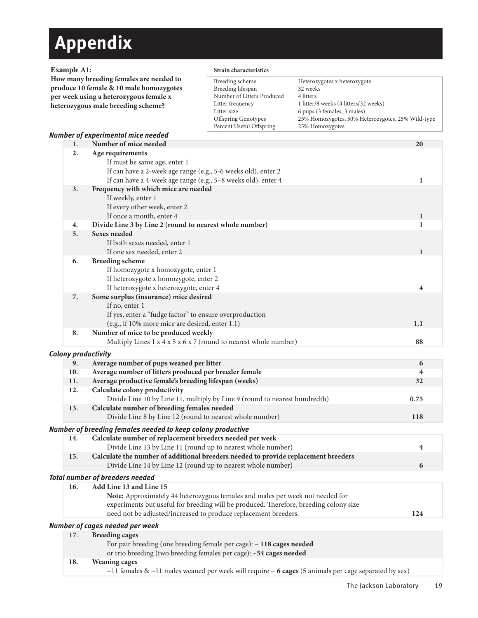# **Appendix**

### **Example A1:**

**How many breeding females are needed to produce 10 female & 10 male homozygotes per week using a heterozygous female x heterozygous male breeding scheme?**

### **Strain characteristics**

| Breeding scheme            | Heterozygotes x heterozygote                      |
|----------------------------|---------------------------------------------------|
| Breeding lifespan          | 32 weeks                                          |
| Number of Litters Produced | 4 litters                                         |
| Litter frequency           | 1 litter/8 weeks (4 litters/32 weeks)             |
| Litter size                | 6 pups (3 females, 3 males)                       |
| <b>Offspring Genotypes</b> | 25% Homozygotes, 50% Heterozygotes, 25% Wild-type |
| Percent Useful Offspring   | 25% Homozygotes                                   |

### *Number of experimental mice needed*

| 1.  | Number of mice needed                                                                                | 20           |  |
|-----|------------------------------------------------------------------------------------------------------|--------------|--|
| 2.  | Age requirements                                                                                     |              |  |
|     | If must be same age, enter 1                                                                         |              |  |
|     | If can have a 2-week age range (e.g., 5-6 weeks old), enter 2                                        |              |  |
|     | If can have a 4-week age range (e.g., 5-8 weeks old), enter 4                                        | 1            |  |
| 3.  | Frequency with which mice are needed                                                                 |              |  |
|     | If weekly, enter 1                                                                                   |              |  |
|     | If every other week, enter 2                                                                         |              |  |
|     | If once a month, enter 4                                                                             | $\mathbf{1}$ |  |
| 4.  | Divide Line 3 by Line 2 (round to nearest whole number)                                              | 1            |  |
| 5.  | <b>Sexes needed</b>                                                                                  |              |  |
|     | If both sexes needed, enter 1                                                                        |              |  |
|     | If one sex needed, enter 2                                                                           | ı            |  |
| 6.  | <b>Breeding scheme</b>                                                                               |              |  |
|     | If homozygote x homozygote, enter 1                                                                  |              |  |
|     | If heterozygote x homozygote, enter 2                                                                |              |  |
|     | If heterozygote x heterozygote, enter 4                                                              | 4            |  |
| 7.  | Some surplus (insurance) mice desired                                                                |              |  |
|     | If no, enter 1                                                                                       |              |  |
|     | If yes, enter a "fudge factor" to ensure overproduction                                              |              |  |
|     | (e.g., if 10% more mice are desired, enter 1.1)                                                      | 1.1          |  |
| 8.  | Number of mice to be produced weekly                                                                 |              |  |
|     | Multiply Lines $1 \times 4 \times 5 \times 6 \times 7$ (round to nearest whole number)               | 88           |  |
|     |                                                                                                      |              |  |
|     | Colony productivity                                                                                  |              |  |
| 9.  | Average number of pups weaned per litter                                                             | 6            |  |
| 10. | Average number of litters produced per breeder female                                                | 4            |  |
| 11. | Average productive female's breeding lifespan (weeks)                                                | 32           |  |
| 12. | Calculate colony productivity                                                                        |              |  |
|     | Divide Line 10 by Line 11, multiply by Line 9 (round to nearest hundredth)                           | 0.75         |  |
| 13. | Calculate number of breeding females needed                                                          |              |  |
|     | Divide Line 8 by Line 12 (round to nearest whole number)                                             | <b>118</b>   |  |
|     | Number of breeding females needed to keep colony productive                                          |              |  |
| 14. | Calculate number of replacement breeders needed per week                                             |              |  |
|     | Divide Line 13 by Line 11 (round up to nearest whole number)                                         | 4            |  |
| 15. | Calculate the number of additional breeders needed to provide replacement breeders                   |              |  |
|     | Divide Line 14 by Line 12 (round up to nearest whole number)                                         | 6            |  |
|     |                                                                                                      |              |  |
|     | <b>Total number of breeders needed</b><br>16. Add Line 13 and Line 15                                |              |  |
|     |                                                                                                      |              |  |
|     | Note: Approximately 44 heterozygous females and males per week not needed for                        |              |  |
|     | experiments but useful for breeding will be produced. Therefore, breeding colony size                |              |  |
|     | need not be adjusted/increased to produce replacement breeders.                                      | 124          |  |
|     | Number of cages needed per week                                                                      |              |  |
| 17. | <b>Breeding cages</b>                                                                                |              |  |
|     | For pair breeding (one breeding female per cage): - 118 cages needed                                 |              |  |
|     | or trio breeding (two breeding females per cage): -54 cages needed                                   |              |  |
| 18. | <b>Weaning cages</b>                                                                                 |              |  |
|     | ~11 females & ~11 males weaned per week will require ~ 6 cages (5 animals per cage separated by sex) |              |  |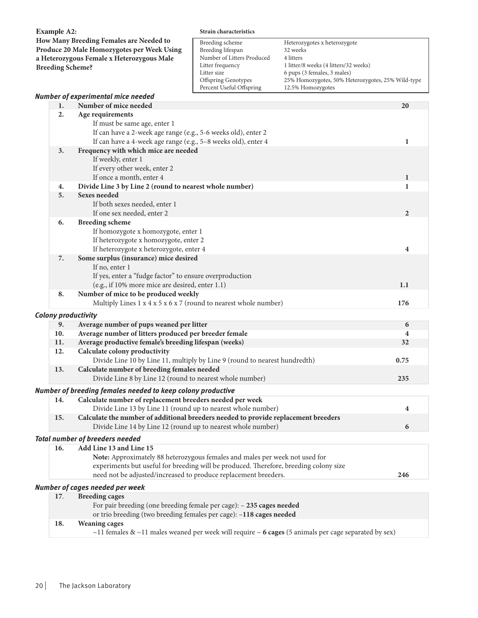| <b>Example A2:</b>      |                                                                                                                                                                                                 | Strain characteristics                                                                                                                                          |                                                                                                                                                                                                         |                |
|-------------------------|-------------------------------------------------------------------------------------------------------------------------------------------------------------------------------------------------|-----------------------------------------------------------------------------------------------------------------------------------------------------------------|---------------------------------------------------------------------------------------------------------------------------------------------------------------------------------------------------------|----------------|
| <b>Breeding Scheme?</b> | How Many Breeding Females are Needed to<br>Produce 20 Male Homozygotes per Week Using<br>a Heterozygous Female x Heterozygous Male                                                              | Breeding scheme<br>Breeding lifespan<br>Number of Litters Produced<br>Litter frequency<br>Litter size<br><b>Offspring Genotypes</b><br>Percent Useful Offspring | Heterozygotes x heterozygote<br>32 weeks<br>4 litters<br>1 litter/8 weeks (4 litters/32 weeks)<br>6 pups (3 females, 3 males)<br>25% Homozygotes, 50% Heterozygotes, 25% Wild-type<br>12.5% Homozygotes |                |
|                         | Number of experimental mice needed                                                                                                                                                              |                                                                                                                                                                 |                                                                                                                                                                                                         |                |
| 1.                      | Number of mice needed                                                                                                                                                                           |                                                                                                                                                                 |                                                                                                                                                                                                         | 20             |
| 2.                      | Age requirements<br>If must be same age, enter 1<br>If can have a 2-week age range (e.g., 5-6 weeks old), enter 2<br>If can have a 4-week age range (e.g., 5-8 weeks old), enter 4              |                                                                                                                                                                 |                                                                                                                                                                                                         | 1              |
| 3.                      | Frequency with which mice are needed<br>If weekly, enter 1<br>If every other week, enter 2<br>If once a month, enter 4                                                                          |                                                                                                                                                                 |                                                                                                                                                                                                         | 1              |
| 4.                      | Divide Line 3 by Line 2 (round to nearest whole number)                                                                                                                                         |                                                                                                                                                                 |                                                                                                                                                                                                         | 1              |
| 5.                      | <b>Sexes needed</b><br>If both sexes needed, enter 1<br>If one sex needed, enter 2                                                                                                              |                                                                                                                                                                 |                                                                                                                                                                                                         | $\overline{2}$ |
| 6.                      | <b>Breeding scheme</b><br>If homozygote x homozygote, enter 1<br>If heterozygote x homozygote, enter 2<br>If heterozygote x heterozygote, enter 4                                               |                                                                                                                                                                 |                                                                                                                                                                                                         | 4              |
| 7.                      | Some surplus (insurance) mice desired<br>If no, enter 1<br>If yes, enter a "fudge factor" to ensure overproduction<br>(e.g., if 10% more mice are desired, enter 1.1)                           |                                                                                                                                                                 |                                                                                                                                                                                                         | 1.1            |
| 8.                      | Number of mice to be produced weekly<br>Multiply Lines $1 \times 4 \times 5 \times 6 \times 7$ (round to nearest whole number)                                                                  |                                                                                                                                                                 |                                                                                                                                                                                                         | 176            |
|                         | <b>Colony productivity</b>                                                                                                                                                                      |                                                                                                                                                                 |                                                                                                                                                                                                         |                |
| 9.                      | Average number of pups weaned per litter                                                                                                                                                        |                                                                                                                                                                 |                                                                                                                                                                                                         | 6              |
| 10.                     | Average number of litters produced per breeder female                                                                                                                                           |                                                                                                                                                                 |                                                                                                                                                                                                         | 4              |
| 11.                     | Average productive female's breeding lifespan (weeks)                                                                                                                                           |                                                                                                                                                                 |                                                                                                                                                                                                         | 32             |
| 12.                     | Calculate colony productivity<br>Divide Line 10 by Line 11, multiply by Line 9 (round to nearest hundredth)                                                                                     |                                                                                                                                                                 |                                                                                                                                                                                                         | 0.75           |
| 13.                     | Calculate number of breeding females needed<br>Divide Line 8 by Line 12 (round to nearest whole number)                                                                                         |                                                                                                                                                                 |                                                                                                                                                                                                         |                |
|                         | Number of breeding females needed to keep colony productive                                                                                                                                     |                                                                                                                                                                 |                                                                                                                                                                                                         | 235            |
| 14.                     | Calculate number of replacement breeders needed per week                                                                                                                                        |                                                                                                                                                                 |                                                                                                                                                                                                         |                |
|                         | Divide Line 13 by Line 11 (round up to nearest whole number)                                                                                                                                    |                                                                                                                                                                 |                                                                                                                                                                                                         | 4              |
| 15.                     | Calculate the number of additional breeders needed to provide replacement breeders<br>Divide Line 14 by Line 12 (round up to nearest whole number)                                              |                                                                                                                                                                 |                                                                                                                                                                                                         | 6              |
|                         | <b>Total number of breeders needed</b>                                                                                                                                                          |                                                                                                                                                                 |                                                                                                                                                                                                         |                |
| 16.                     | Add Line 13 and Line 15<br>Note: Approximately 88 heterozygous females and males per week not used for<br>experiments but useful for breeding will be produced. Therefore, breeding colony size |                                                                                                                                                                 |                                                                                                                                                                                                         |                |
|                         | need not be adjusted/increased to produce replacement breeders.                                                                                                                                 |                                                                                                                                                                 |                                                                                                                                                                                                         | 246            |
|                         | Number of cages needed per week                                                                                                                                                                 |                                                                                                                                                                 |                                                                                                                                                                                                         |                |
| 17.                     | <b>Breeding cages</b><br>For pair breeding (one breeding female per cage): - 235 cages needed<br>or trio breeding (two breeding females per cage): -118 cages needed                            |                                                                                                                                                                 |                                                                                                                                                                                                         |                |
| 18.                     | <b>Weaning cages</b>                                                                                                                                                                            |                                                                                                                                                                 | ~11 females & ~11 males weaned per week will require ~ 6 cages (5 animals per cage separated by sex)                                                                                                    |                |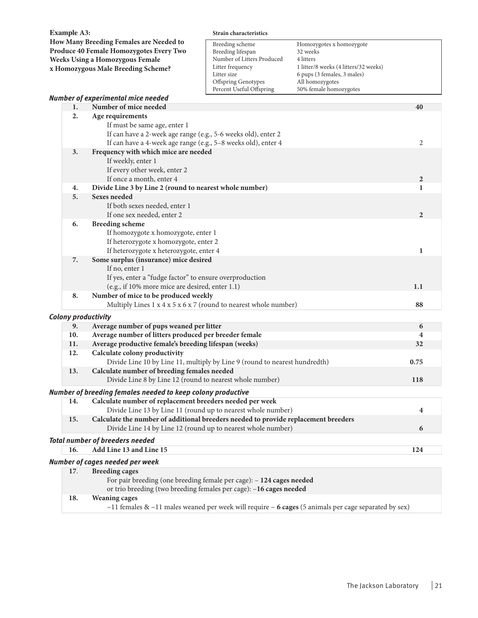**Example A3:**

**How Many Breeding Females are Needed to Produce 40 Female Homozygotes Every Two Weeks Using a Homozygous Female x Homozygous Male Breeding Scheme?**

#### **Strain characteristics**

| Breeding scheme            | Homozygotes x homozygote              |
|----------------------------|---------------------------------------|
| Breeding lifespan          | 32 weeks                              |
| Number of Litters Produced | 4 litters                             |
| Litter frequency           | 1 litter/8 weeks (4 litters/32 weeks) |
| Litter size                | 6 pups (3 females, 3 males)           |
| <b>Offspring Genotypes</b> | All homozygotes                       |
| Percent Useful Offspring   | 50% female homozygotes                |

### *Number of experimental mice needed* **1. Number of mice needed 40 2. Age requirements** If must be same age, enter 1 If can have a 2-week age range (e.g., 5-6 weeks old), enter 2 If can have a 4-week age range (e.g., 5–8 weeks old), enter 4 2 **3. Frequency with which mice are needed** If weekly, enter 1 If every other week, enter 2 If once a month, enter 4 **2 4. Divide Line 3 by Line 2 (round to nearest whole number) 1 5. Sexes needed** If both sexes needed, enter 1 If one sex needed, enter 2 **2 6. Breeding scheme** If homozygote x homozygote, enter 1 If heterozygote x homozygote, enter 2 If heterozygote x heterozygote, enter 4 **1 7. Some surplus (insurance) mice desired** If no, enter 1 If yes, enter a "fudge factor" to ensure overproduction (e.g., if 10% more mice are desired, enter 1.1) **1.1 8. Number of mice to be produced weekly**  Multiply Lines 1 x 4 x 5 x 6 x 7 (round to nearest whole number) **88** *Colony productivity* **9. Average number of pups weaned per litter 6 10. Average number of litters produced per breeder female 4 11. Average productive female's breeding lifespan (weeks) 32 12. Calculate colony productivity** Divide Line 10 by Line 11, multiply by Line 9 (round to nearest hundredth) **0.75 13. Calculate number of breeding females needed**  Divide Line 8 by Line 12 (round to nearest whole number) **118** *Number of breeding females needed to keep colony productive* **14. Calculate number of replacement breeders needed per week** Divide Line 13 by Line 11 (round up to nearest whole number) **4 15. Calculate the number of additional breeders needed to provide replacement breeders**  Divide Line 14 by Line 12 (round up to nearest whole number) **6** *Total number of breeders needed* **16. Add Line 13 and Line 15 124** *Number of cages needed per week* **17**. **Breeding cages** For pair breeding (one breeding female per cage): – **124 cages needed** or trio breeding (two breeding females per cage): –**16 cages needed**

#### **18. Weaning cages**

~11 females & ~11 males weaned per week will require ~ **6 cages** (5 animals per cage separated by sex)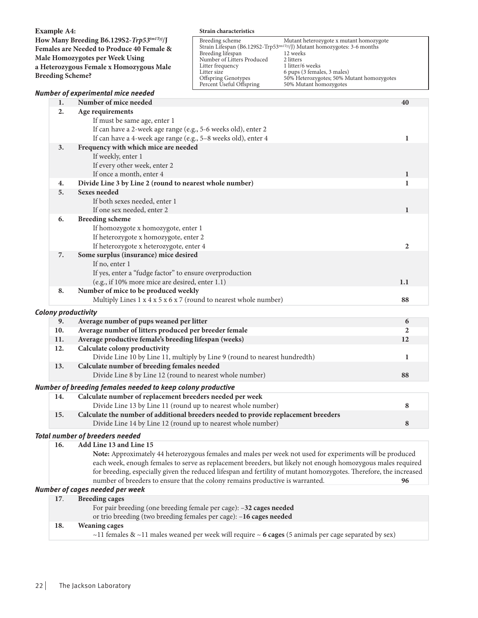|                                                                                                                                                                                                                      |    |                                                                                                                                                                                    | Strain characteristics                                                                                                                                          |                                                                                                                                                                                                                                                                       |    |
|----------------------------------------------------------------------------------------------------------------------------------------------------------------------------------------------------------------------|----|------------------------------------------------------------------------------------------------------------------------------------------------------------------------------------|-----------------------------------------------------------------------------------------------------------------------------------------------------------------|-----------------------------------------------------------------------------------------------------------------------------------------------------------------------------------------------------------------------------------------------------------------------|----|
| <b>Example A4:</b><br>How Many Breeding B6.129S2-Trp53tm1Tyj/J<br>Females are Needed to Produce 40 Female &<br>Male Homozygotes per Week Using<br>a Heterozygous Female x Homozygous Male<br><b>Breeding Scheme?</b> |    |                                                                                                                                                                                    | Breeding scheme<br>Breeding lifespan<br>Number of Litters Produced<br>Litter frequency<br>Litter size<br><b>Offspring Genotypes</b><br>Percent Useful Offspring | Mutant heterozygote x mutant homozygote<br>Strain Lifespan (B6.129S2-Trp53tm1Tyj/J) Mutant homozygotes: 3-6 months<br>12 weeks<br>2 litters<br>1 litter/6 weeks<br>6 pups (3 females, 3 males)<br>50% Heterozygotes; 50% Mutant homozygotes<br>50% Mutant homozygotes |    |
|                                                                                                                                                                                                                      |    | <b>Number of experimental mice needed</b>                                                                                                                                          |                                                                                                                                                                 |                                                                                                                                                                                                                                                                       |    |
|                                                                                                                                                                                                                      | 1. | Number of mice needed                                                                                                                                                              |                                                                                                                                                                 |                                                                                                                                                                                                                                                                       | 40 |
|                                                                                                                                                                                                                      | 2. | Age requirements<br>If must be same age, enter 1<br>If can have a 2-week age range (e.g., 5-6 weeks old), enter 2<br>If can have a 4-week age range (e.g., 5-8 weeks old), enter 4 |                                                                                                                                                                 |                                                                                                                                                                                                                                                                       |    |
|                                                                                                                                                                                                                      | 3. | Frequency with which mice are needed<br>If weekly, enter 1<br>If every other week, enter 2<br>If once a month, enter 4                                                             |                                                                                                                                                                 |                                                                                                                                                                                                                                                                       |    |
|                                                                                                                                                                                                                      | 4. | Divide Line 3 by Line 2 (round to nearest whole number)                                                                                                                            |                                                                                                                                                                 |                                                                                                                                                                                                                                                                       |    |
|                                                                                                                                                                                                                      | 5. | <b>Sexes needed</b><br>If both sexes needed, enter 1<br>If one sex needed, enter 2                                                                                                 |                                                                                                                                                                 |                                                                                                                                                                                                                                                                       |    |
|                                                                                                                                                                                                                      | 6. | <b>Breeding scheme</b><br>If homozygote x homozygote, enter 1<br>If heterozygote x homozygote, enter 2<br>If heterozygote x heterozygote, enter 4                                  |                                                                                                                                                                 |                                                                                                                                                                                                                                                                       | 2  |

|     | $\mathcal{L}$ and $\mathcal{L}$ is the state of the state of $\mathcal{L}$ . The state of $\mathcal{L}$ is the state of $\mathcal{L}$ |    |
|-----|---------------------------------------------------------------------------------------------------------------------------------------|----|
| 8.  | Number of mice to be produced weekly                                                                                                  |    |
|     | Multiply Lines $1 \times 4 \times 5 \times 6 \times 7$ (round to nearest whole number)                                                | 88 |
|     | <b>Colony productivity</b>                                                                                                            |    |
| 9.  | Average number of pups weaned per litter                                                                                              | 6  |
| 10. | Average number of litters produced per breeder female                                                                                 |    |
| 11. | Average productive female's breeding lifespan (weeks)                                                                                 | 12 |
| 12. | Calculate colony productivity                                                                                                         |    |
|     | Divide Line 10 by Line 11, multiply by Line 9 (round to nearest hundredth)                                                            |    |
| 13. | Calculate number of breeding females needed                                                                                           |    |
|     | Divide Line 8 by Line 12 (round to nearest whole number)                                                                              | 88 |
|     | Number of breeding females needed to keep colony productive                                                                           |    |
|     |                                                                                                                                       |    |

(e.g., if 10% more mice are desired, enter 1.1) **1.1**

| 14. | Calculate number of replacement breeders needed per week                           |  |
|-----|------------------------------------------------------------------------------------|--|
|     | Divide Line 13 by Line 11 (round up to nearest whole number)                       |  |
| 15. | Calculate the number of additional breeders needed to provide replacement breeders |  |
|     | Divide Line 14 by Line 12 (round up to nearest whole number)                       |  |

### *Total number of breeders needed*

| Add Line 13 and Line 15<br>16. |  |
|--------------------------------|--|
|--------------------------------|--|

**7. Some surplus (insurance) mice desired**

If yes, enter a "fudge factor" to ensure overproduction

If no, enter 1

 **Note:** Approximately 44 heterozygous females and males per week not used for experiments will be produced each week, enough females to serve as replacement breeders, but likely not enough homozygous males required for breeding, especially given the reduced lifespan and fertility of mutant homozygotes. Therefore, the increased number of breeders to ensure that the colony remains productive is warranted. **96**

### *Number of cages needed per week*

| 17. | <b>Breeding cages</b>                                                                                |  |
|-----|------------------------------------------------------------------------------------------------------|--|
|     | For pair breeding (one breeding female per cage): -32 cages needed                                   |  |
|     | or trio breeding (two breeding females per cage): -16 cages needed                                   |  |
| 18. | <b>Weaning cages</b>                                                                                 |  |
|     | ~11 females & ~11 males weaned per week will require ~ 6 cages (5 animals per cage separated by sex) |  |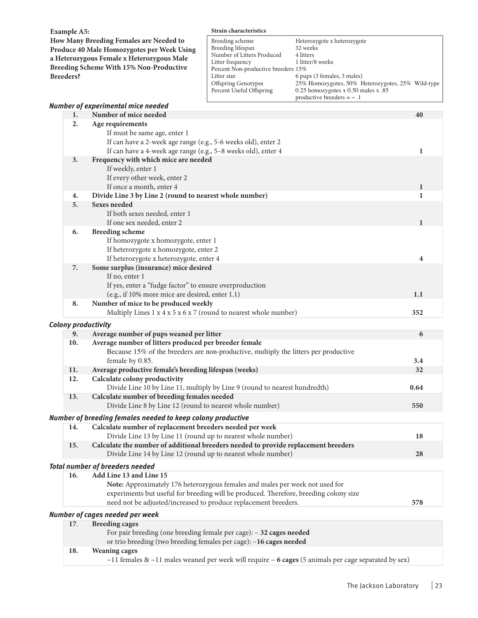**Example A5:**

**How Many Breeding Females are Needed to Produce 40 Male Homozygotes per Week Using a Heterozygous Female x Heterozygous Male Breeding Scheme With 15% Non-Productive Breeders?**

### **Strain characteristics**

| Breeding scheme                     | Heterozygote x heterozygote                       |
|-------------------------------------|---------------------------------------------------|
| Breeding lifespan                   | 32 weeks                                          |
| Number of Litters Produced          | 4 litters                                         |
| Litter frequency                    | 1 litter/8 weeks                                  |
| Percent Non-productive breeders 15% |                                                   |
| Litter size                         | 6 pups (3 females, 3 males)                       |
| Offspring Genotypes                 | 25% Homozygotes, 50% Heterozygotes, 25% Wild-type |
| Percent Useful Offspring            | 0.25 homozygotes x $0.50$ males x $.85$           |
|                                     | productive breeders $=$ $\sim$ .1                 |

|                                        |     | <b>Number of experimental mice needed</b>                                              |              |  |  |  |
|----------------------------------------|-----|----------------------------------------------------------------------------------------|--------------|--|--|--|
|                                        | 1.  | Number of mice needed                                                                  | 40           |  |  |  |
|                                        | 2.  | Age requirements                                                                       |              |  |  |  |
|                                        |     | If must be same age, enter 1                                                           |              |  |  |  |
|                                        |     | If can have a 2-week age range (e.g., 5-6 weeks old), enter 2                          |              |  |  |  |
|                                        |     | If can have a 4-week age range (e.g., 5-8 weeks old), enter 4                          | 1            |  |  |  |
|                                        | 3.  | Frequency with which mice are needed                                                   |              |  |  |  |
|                                        |     | If weekly, enter 1                                                                     |              |  |  |  |
|                                        |     | If every other week, enter 2                                                           |              |  |  |  |
|                                        |     | If once a month, enter 4                                                               | $\mathbf{1}$ |  |  |  |
|                                        | 4.  | Divide Line 3 by Line 2 (round to nearest whole number)                                | 1            |  |  |  |
|                                        | 5.  | <b>Sexes needed</b>                                                                    |              |  |  |  |
|                                        |     | If both sexes needed, enter 1                                                          |              |  |  |  |
|                                        |     | If one sex needed, enter 2                                                             | 1            |  |  |  |
|                                        | 6.  | <b>Breeding scheme</b>                                                                 |              |  |  |  |
|                                        |     | If homozygote x homozygote, enter 1                                                    |              |  |  |  |
|                                        |     | If heterozygote x homozygote, enter 2                                                  |              |  |  |  |
|                                        |     | If heterozygote x heterozygote, enter 4                                                | 4            |  |  |  |
|                                        | 7.  | Some surplus (insurance) mice desired                                                  |              |  |  |  |
|                                        |     | If no, enter 1                                                                         |              |  |  |  |
|                                        |     | If yes, enter a "fudge factor" to ensure overproduction                                |              |  |  |  |
|                                        |     | (e.g., if 10% more mice are desired, enter 1.1)                                        | 1.1          |  |  |  |
|                                        | 8.  | Number of mice to be produced weekly                                                   |              |  |  |  |
|                                        |     | Multiply Lines $1 \times 4 \times 5 \times 6 \times 7$ (round to nearest whole number) | 352          |  |  |  |
|                                        |     | <b>Colony productivity</b>                                                             |              |  |  |  |
|                                        | 9.  | Average number of pups weaned per litter                                               | 6            |  |  |  |
|                                        | 10. | Average number of litters produced per breeder female                                  |              |  |  |  |
|                                        |     | Because 15% of the breeders are non-productive, multiply the litters per productive    |              |  |  |  |
|                                        |     | female by 0.85.                                                                        | 3.4          |  |  |  |
|                                        | 11. | Average productive female's breeding lifespan (weeks)                                  | 32           |  |  |  |
|                                        | 12. | Calculate colony productivity                                                          |              |  |  |  |
|                                        |     | Divide Line 10 by Line 11, multiply by Line 9 (round to nearest hundredth)             | 0.64         |  |  |  |
|                                        | 13. | Calculate number of breeding females needed                                            |              |  |  |  |
|                                        |     | Divide Line 8 by Line 12 (round to nearest whole number)                               | 550          |  |  |  |
|                                        |     | Number of breeding females needed to keep colony productive                            |              |  |  |  |
|                                        | 14. | Calculate number of replacement breeders needed per week                               |              |  |  |  |
|                                        |     | Divide Line 13 by Line 11 (round up to nearest whole number)                           | 18           |  |  |  |
|                                        | 15. | Calculate the number of additional breeders needed to provide replacement breeders     |              |  |  |  |
|                                        |     | Divide Line 14 by Line 12 (round up to nearest whole number)                           | 28           |  |  |  |
| <b>Total number of breeders needed</b> |     |                                                                                        |              |  |  |  |
|                                        | 16. | Add Line 13 and Line 15                                                                |              |  |  |  |
|                                        |     | Note: Approximately 176 heterozygous females and males per week not used for           |              |  |  |  |
|                                        |     | experiments but useful for breeding will be produced. Therefore, breeding colony size  |              |  |  |  |
|                                        |     | need not be adjusted/increased to produce replacement breeders.                        | 578          |  |  |  |
|                                        |     | Number of cages needed per week                                                        |              |  |  |  |
|                                        | 17. | <b>Breeding cages</b>                                                                  |              |  |  |  |
|                                        |     | For pair breeding (one breeding female per cage): - 32 cages needed                    |              |  |  |  |
|                                        |     | or trio breeding (two breeding females per cage): -16 cages needed                     |              |  |  |  |

### **18. Weaning cages**

~11 females & ~11 males weaned per week will require ~ **6 cages** (5 animals per cage separated by sex)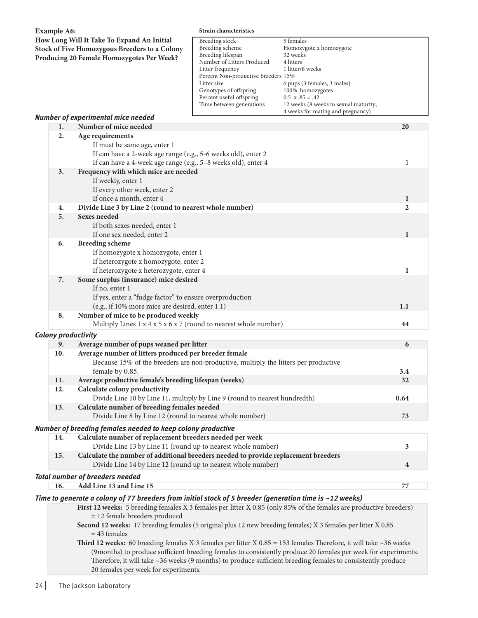| <b>Example A6:</b><br>How Long Will It Take To Expand An Initial<br><b>Stock of Five Homozygous Breeders to a Colony</b><br>Producing 20 Female Homozygotes Per Week? |                            |                                                                                                                     | Strain characteristics                                                                                                                                                                                                                           |                                                                                                                                                                                                                                              |                |  |  |  |
|-----------------------------------------------------------------------------------------------------------------------------------------------------------------------|----------------------------|---------------------------------------------------------------------------------------------------------------------|--------------------------------------------------------------------------------------------------------------------------------------------------------------------------------------------------------------------------------------------------|----------------------------------------------------------------------------------------------------------------------------------------------------------------------------------------------------------------------------------------------|----------------|--|--|--|
|                                                                                                                                                                       |                            |                                                                                                                     | Breeding stock<br>Breeding scheme<br>Breeding lifespan<br>Number of Litters Produced<br>Litter frequency<br>Percent Non-productive breeders 15%<br>Litter size<br>Genotypes of offspring<br>Percent useful offspring<br>Time between generations | 5 females<br>Homozygote x homozygote<br>32 weeks<br>4 litters<br>1 litter/8 weeks<br>6 pups (3 females, 3 males)<br>100% homozygotes<br>$0.5 \times .85 = .42$<br>12 weeks (8 weeks to sexual maturity;<br>4 weeks for mating and pregnancy) |                |  |  |  |
|                                                                                                                                                                       |                            | Number of experimental mice needed                                                                                  |                                                                                                                                                                                                                                                  |                                                                                                                                                                                                                                              |                |  |  |  |
|                                                                                                                                                                       | 1.                         | Number of mice needed                                                                                               |                                                                                                                                                                                                                                                  |                                                                                                                                                                                                                                              | 20             |  |  |  |
|                                                                                                                                                                       | 2.                         | Age requirements                                                                                                    |                                                                                                                                                                                                                                                  |                                                                                                                                                                                                                                              |                |  |  |  |
|                                                                                                                                                                       |                            | If must be same age, enter 1                                                                                        |                                                                                                                                                                                                                                                  |                                                                                                                                                                                                                                              |                |  |  |  |
|                                                                                                                                                                       |                            | If can have a 2-week age range (e.g., 5-6 weeks old), enter 2                                                       |                                                                                                                                                                                                                                                  |                                                                                                                                                                                                                                              |                |  |  |  |
|                                                                                                                                                                       |                            | If can have a 4-week age range (e.g., 5-8 weeks old), enter 4                                                       |                                                                                                                                                                                                                                                  |                                                                                                                                                                                                                                              | 1              |  |  |  |
|                                                                                                                                                                       | 3.                         | Frequency with which mice are needed                                                                                |                                                                                                                                                                                                                                                  |                                                                                                                                                                                                                                              |                |  |  |  |
|                                                                                                                                                                       |                            | If weekly, enter 1                                                                                                  |                                                                                                                                                                                                                                                  |                                                                                                                                                                                                                                              |                |  |  |  |
|                                                                                                                                                                       |                            | If every other week, enter 2                                                                                        |                                                                                                                                                                                                                                                  |                                                                                                                                                                                                                                              |                |  |  |  |
|                                                                                                                                                                       |                            | If once a month, enter 4                                                                                            |                                                                                                                                                                                                                                                  |                                                                                                                                                                                                                                              | 1              |  |  |  |
|                                                                                                                                                                       | 4.                         | Divide Line 3 by Line 2 (round to nearest whole number)                                                             |                                                                                                                                                                                                                                                  |                                                                                                                                                                                                                                              | $\mathbf{2}$   |  |  |  |
|                                                                                                                                                                       | 5.                         | <b>Sexes needed</b>                                                                                                 |                                                                                                                                                                                                                                                  |                                                                                                                                                                                                                                              |                |  |  |  |
|                                                                                                                                                                       |                            | If both sexes needed, enter 1                                                                                       |                                                                                                                                                                                                                                                  |                                                                                                                                                                                                                                              |                |  |  |  |
|                                                                                                                                                                       |                            | If one sex needed, enter 2                                                                                          |                                                                                                                                                                                                                                                  |                                                                                                                                                                                                                                              | $\mathbf{1}$   |  |  |  |
|                                                                                                                                                                       | 6.                         | <b>Breeding scheme</b>                                                                                              |                                                                                                                                                                                                                                                  |                                                                                                                                                                                                                                              |                |  |  |  |
|                                                                                                                                                                       |                            | If homozygote x homozygote, enter 1                                                                                 |                                                                                                                                                                                                                                                  |                                                                                                                                                                                                                                              |                |  |  |  |
|                                                                                                                                                                       |                            | If heterozygote x homozygote, enter 2                                                                               |                                                                                                                                                                                                                                                  |                                                                                                                                                                                                                                              |                |  |  |  |
|                                                                                                                                                                       |                            | If heterozygote x heterozygote, enter 4                                                                             |                                                                                                                                                                                                                                                  |                                                                                                                                                                                                                                              | 1              |  |  |  |
|                                                                                                                                                                       | 7.                         | Some surplus (insurance) mice desired                                                                               |                                                                                                                                                                                                                                                  |                                                                                                                                                                                                                                              |                |  |  |  |
|                                                                                                                                                                       |                            | If no, enter 1                                                                                                      |                                                                                                                                                                                                                                                  |                                                                                                                                                                                                                                              |                |  |  |  |
|                                                                                                                                                                       |                            | If yes, enter a "fudge factor" to ensure overproduction                                                             |                                                                                                                                                                                                                                                  |                                                                                                                                                                                                                                              |                |  |  |  |
|                                                                                                                                                                       |                            | (e.g., if 10% more mice are desired, enter 1.1)                                                                     |                                                                                                                                                                                                                                                  |                                                                                                                                                                                                                                              | 1.1            |  |  |  |
|                                                                                                                                                                       | 8.                         | Number of mice to be produced weekly                                                                                |                                                                                                                                                                                                                                                  |                                                                                                                                                                                                                                              |                |  |  |  |
|                                                                                                                                                                       |                            | Multiply Lines 1 x 4 x 5 x 6 x 7 (round to nearest whole number)                                                    |                                                                                                                                                                                                                                                  |                                                                                                                                                                                                                                              | 44             |  |  |  |
|                                                                                                                                                                       | <b>Colony productivity</b> |                                                                                                                     |                                                                                                                                                                                                                                                  |                                                                                                                                                                                                                                              |                |  |  |  |
|                                                                                                                                                                       | 9.                         | Average number of pups weaned per litter                                                                            |                                                                                                                                                                                                                                                  |                                                                                                                                                                                                                                              | 6              |  |  |  |
|                                                                                                                                                                       | 10.                        | Average number of litters produced per breeder female                                                               |                                                                                                                                                                                                                                                  |                                                                                                                                                                                                                                              |                |  |  |  |
|                                                                                                                                                                       |                            | Because 15% of the breeders are non-productive, multiply the litters per productive                                 |                                                                                                                                                                                                                                                  |                                                                                                                                                                                                                                              |                |  |  |  |
|                                                                                                                                                                       |                            | female by 0.85.                                                                                                     |                                                                                                                                                                                                                                                  |                                                                                                                                                                                                                                              | 3.4            |  |  |  |
|                                                                                                                                                                       | 11.                        | Average productive female's breeding lifespan (weeks)                                                               |                                                                                                                                                                                                                                                  |                                                                                                                                                                                                                                              | 32             |  |  |  |
|                                                                                                                                                                       | 12.                        | Calculate colony productivity                                                                                       |                                                                                                                                                                                                                                                  |                                                                                                                                                                                                                                              |                |  |  |  |
|                                                                                                                                                                       |                            | Divide Line 10 by Line 11, multiply by Line 9 (round to nearest hundredth)                                          |                                                                                                                                                                                                                                                  |                                                                                                                                                                                                                                              | 0.64           |  |  |  |
|                                                                                                                                                                       | 13.                        | Calculate number of breeding females needed                                                                         |                                                                                                                                                                                                                                                  |                                                                                                                                                                                                                                              |                |  |  |  |
|                                                                                                                                                                       |                            | Divide Line 8 by Line 12 (round to nearest whole number)                                                            |                                                                                                                                                                                                                                                  |                                                                                                                                                                                                                                              | 73             |  |  |  |
|                                                                                                                                                                       |                            |                                                                                                                     |                                                                                                                                                                                                                                                  |                                                                                                                                                                                                                                              |                |  |  |  |
|                                                                                                                                                                       |                            | Number of breeding females needed to keep colony productive                                                         |                                                                                                                                                                                                                                                  |                                                                                                                                                                                                                                              |                |  |  |  |
|                                                                                                                                                                       | 14.                        | Calculate number of replacement breeders needed per week                                                            |                                                                                                                                                                                                                                                  |                                                                                                                                                                                                                                              |                |  |  |  |
|                                                                                                                                                                       |                            | Divide Line 13 by Line 11 (round up to nearest whole number)                                                        |                                                                                                                                                                                                                                                  |                                                                                                                                                                                                                                              | 3              |  |  |  |
|                                                                                                                                                                       | 15.                        | Calculate the number of additional breeders needed to provide replacement breeders                                  |                                                                                                                                                                                                                                                  |                                                                                                                                                                                                                                              |                |  |  |  |
|                                                                                                                                                                       |                            | Divide Line 14 by Line 12 (round up to nearest whole number)                                                        |                                                                                                                                                                                                                                                  |                                                                                                                                                                                                                                              | $\overline{4}$ |  |  |  |
| <b>Total number of breeders needed</b>                                                                                                                                |                            |                                                                                                                     |                                                                                                                                                                                                                                                  |                                                                                                                                                                                                                                              |                |  |  |  |
|                                                                                                                                                                       | 16.                        | Add Line 13 and Line 15                                                                                             |                                                                                                                                                                                                                                                  |                                                                                                                                                                                                                                              | 77             |  |  |  |
|                                                                                                                                                                       |                            | Time to generate a colony of 77 breeders from initial stock of 5 breeder (generation time is ~12 weeks)             |                                                                                                                                                                                                                                                  |                                                                                                                                                                                                                                              |                |  |  |  |
|                                                                                                                                                                       |                            | First 12 weeks: 5 breeding females X 3 females per litter X 0.85 (only 85% of the females are productive breeders)  |                                                                                                                                                                                                                                                  |                                                                                                                                                                                                                                              |                |  |  |  |
|                                                                                                                                                                       |                            | = 12 female breeders produced                                                                                       |                                                                                                                                                                                                                                                  |                                                                                                                                                                                                                                              |                |  |  |  |
|                                                                                                                                                                       |                            | Second 12 weeks: 17 breeding females (5 original plus 12 new breeding females) X 3 females per litter X 0.85        |                                                                                                                                                                                                                                                  |                                                                                                                                                                                                                                              |                |  |  |  |
|                                                                                                                                                                       |                            | $= 43$ females                                                                                                      |                                                                                                                                                                                                                                                  |                                                                                                                                                                                                                                              |                |  |  |  |
|                                                                                                                                                                       |                            | Third 12 weeks: 60 breeding females X 3 females per litter X $0.85 = 153$ females Therefore, it will take ~36 weeks |                                                                                                                                                                                                                                                  |                                                                                                                                                                                                                                              |                |  |  |  |
|                                                                                                                                                                       |                            |                                                                                                                     |                                                                                                                                                                                                                                                  |                                                                                                                                                                                                                                              |                |  |  |  |

(9months) to produce sufficient breeding females to consistently produce 20 females per week for experiments. Therefore, it will take  $\sim$ 36 weeks (9 months) to produce sufficient breeding females to consistently produce 20 females per week for experiments.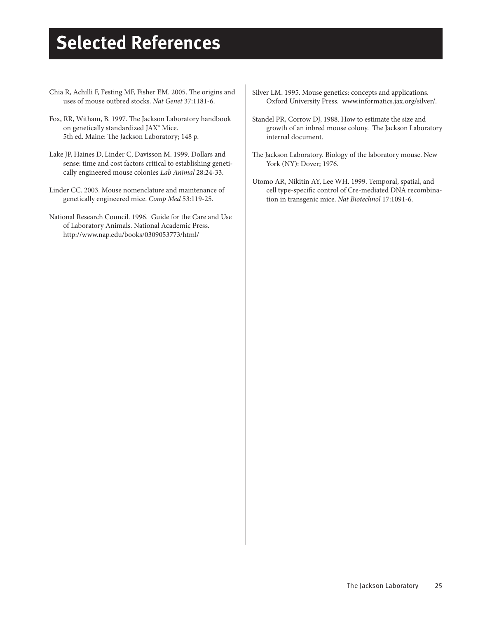# **Selected References**

- Chia R, Achilli F, Festing MF, Fisher EM. 2005. The origins and uses of mouse outbred stocks. *Nat Genet* 37:1181-6.
- Fox, RR, Witham, B. 1997. The Jackson Laboratory handbook on genetically standardized JAX® Mice. 5th ed. Maine: The Jackson Laboratory; 148 p.
- Lake JP, Haines D, Linder C, Davisson M. 1999. Dollars and sense: time and cost factors critical to establishing genetically engineered mouse colonies *Lab Animal* 28:24-33.
- Linder CC. 2003. Mouse nomenclature and maintenance of genetically engineered mice. *Comp Med* 53:119-25.
- National Research Council. 1996. Guide for the Care and Use of Laboratory Animals. National Academic Press. http://www.nap.edu/books/0309053773/html/
- Silver LM. 1995. Mouse genetics: concepts and applications. Oxford University Press. www.informatics.jax.org/silver/.
- Standel PR, Corrow DJ, 1988. How to estimate the size and growth of an inbred mouse colony. The Jackson Laboratory internal document.
- The Jackson Laboratory. Biology of the laboratory mouse. New York (NY): Dover; 1976.
- Utomo AR, Nikitin AY, Lee WH. 1999. Temporal, spatial, and cell type-specific control of Cre-mediated DNA recombination in transgenic mice. *Nat Biotechnol* 17:1091-6.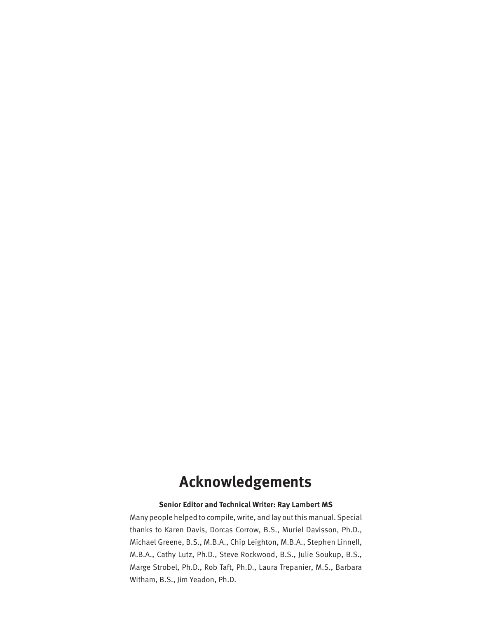## **Acknowledgements**

### **Senior Editor and Technical Writer: Ray Lambert MS**

Many people helped to compile, write, and lay out this manual. Special thanks to Karen Davis, Dorcas Corrow, B.S., Muriel Davisson, Ph.D., Michael Greene, B.S., M.B.A., Chip Leighton, M.B.A., Stephen Linnell, M.B.A., Cathy Lutz, Ph.D., Steve Rockwood, B.S., Julie Soukup, B.S., Marge Strobel, Ph.D., Rob Taft, Ph.D., Laura Trepanier, M.S., Barbara Witham, B.S., Jim Yeadon, Ph.D.